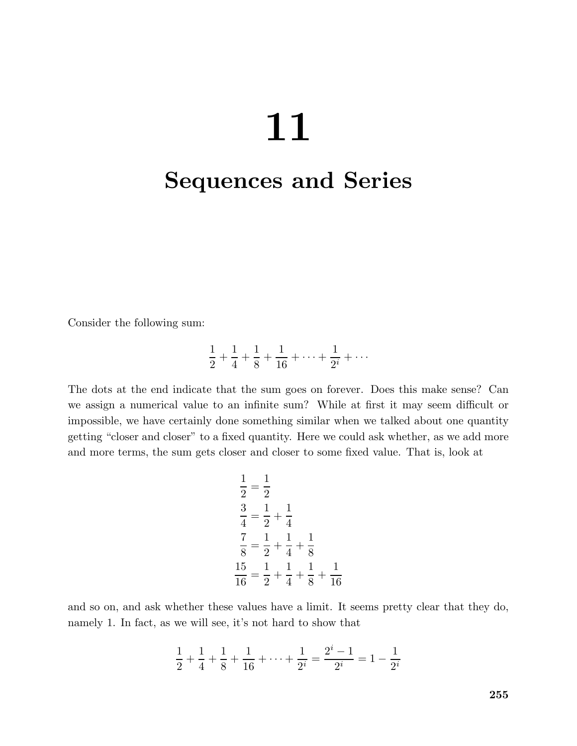# 

## Sequences and Series

Consider the following sum:

$$
\frac{1}{2} + \frac{1}{4} + \frac{1}{8} + \frac{1}{16} + \dots + \frac{1}{2^i} + \dots
$$

The dots at the end indicate that the sum goes on forever. Does this make sense? Can we assign a numerical value to an infinite sum? While at first it may seem difficult or impossible, we have certainly done something similar when we talked about one quantity getting "closer and closer" to a fixed quantity. Here we could ask whether, as we add more and more terms, the sum gets closer and closer to some fixed value. That is, look at

$$
\frac{1}{2} = \frac{1}{2}
$$
  
\n
$$
\frac{3}{4} = \frac{1}{2} + \frac{1}{4}
$$
  
\n
$$
\frac{7}{8} = \frac{1}{2} + \frac{1}{4} + \frac{1}{8}
$$
  
\n
$$
\frac{15}{16} = \frac{1}{2} + \frac{1}{4} + \frac{1}{8} + \frac{1}{16}
$$

and so on, and ask whether these values have a limit. It seems pretty clear that they do, namely 1. In fact, as we will see, it's not hard to show that

$$
\frac{1}{2} + \frac{1}{4} + \frac{1}{8} + \frac{1}{16} + \dots + \frac{1}{2^i} = \frac{2^i - 1}{2^i} = 1 - \frac{1}{2^i}
$$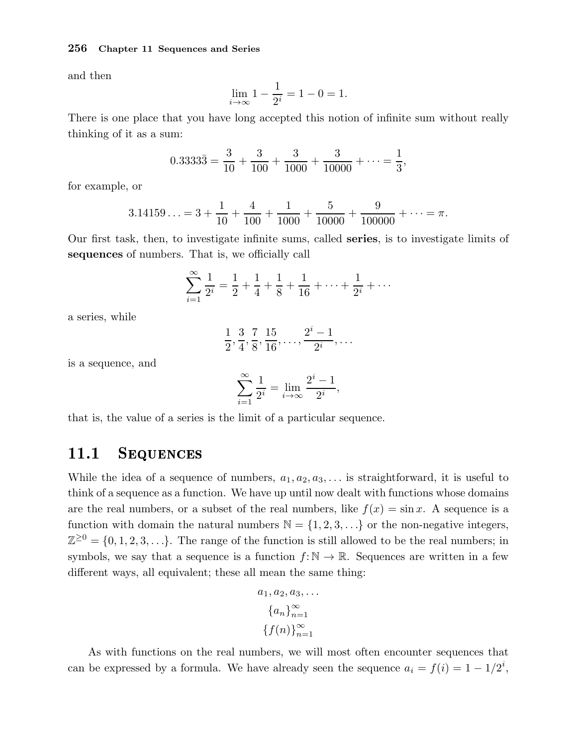and then

$$
\lim_{i \to \infty} 1 - \frac{1}{2^i} = 1 - 0 = 1.
$$

There is one place that you have long accepted this notion of infinite sum without really thinking of it as a sum:

$$
0.3333\overline{3} = \frac{3}{10} + \frac{3}{100} + \frac{3}{1000} + \frac{3}{10000} + \dots = \frac{1}{3},
$$

for example, or

$$
3.14159\ldots = 3 + \frac{1}{10} + \frac{4}{100} + \frac{1}{1000} + \frac{5}{10000} + \frac{9}{100000} + \cdots = \pi.
$$

Our first task, then, to investigate infinite sums, called series, is to investigate limits of sequences of numbers. That is, we officially call

$$
\sum_{i=1}^{\infty} \frac{1}{2^i} = \frac{1}{2} + \frac{1}{4} + \frac{1}{8} + \frac{1}{16} + \dots + \frac{1}{2^i} + \dots
$$

a series, while

$$
\frac{1}{2}, \frac{3}{4}, \frac{7}{8}, \frac{15}{16}, \ldots, \frac{2^{i}-1}{2^{i}}, \ldots
$$

is a sequence, and

$$
\sum_{i=1}^{\infty} \frac{1}{2^i} = \lim_{i \to \infty} \frac{2^i - 1}{2^i},
$$

that is, the value of a series is the limit of a particular sequence.

## 11.1 SEQUENCES

While the idea of a sequence of numbers,  $a_1, a_2, a_3, \ldots$  is straightforward, it is useful to think of a sequence as a function. We have up until now dealt with functions whose domains are the real numbers, or a subset of the real numbers, like  $f(x) = \sin x$ . A sequence is a function with domain the natural numbers  $\mathbb{N} = \{1, 2, 3, \ldots\}$  or the non-negative integers,  $\mathbb{Z}^{\geq 0} = \{0, 1, 2, 3, \ldots\}.$  The range of the function is still allowed to be the real numbers; in symbols, we say that a sequence is a function  $f: \mathbb{N} \to \mathbb{R}$ . Sequences are written in a few different ways, all equivalent; these all mean the same thing:

$$
a_1, a_2, a_3, \dots
$$

$$
\{a_n\}_{n=1}^{\infty}
$$

$$
\{f(n)\}_{n=1}^{\infty}
$$

As with functions on the real numbers, we will most often encounter sequences that can be expressed by a formula. We have already seen the sequence  $a_i = f(i) = 1 - 1/2^i$ ,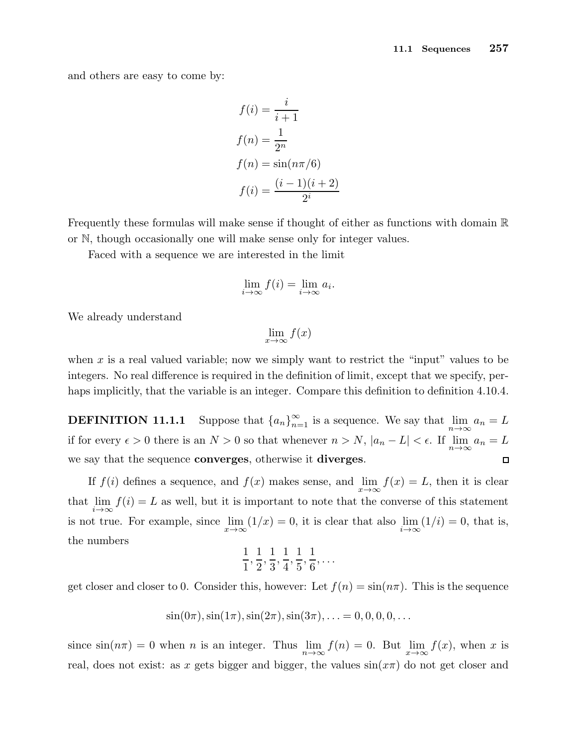and others are easy to come by:

$$
f(i) = \frac{i}{i+1}
$$

$$
f(n) = \frac{1}{2^n}
$$

$$
f(n) = \sin(n\pi/6)
$$

$$
f(i) = \frac{(i-1)(i+2)}{2^i}
$$

Frequently these formulas will make sense if thought of either as functions with domain R or N, though occasionally one will make sense only for integer values.

Faced with a sequence we are interested in the limit

$$
\lim_{i \to \infty} f(i) = \lim_{i \to \infty} a_i.
$$

We already understand

$$
\lim_{x \to \infty} f(x)
$$

when x is a real valued variable; now we simply want to restrict the "input" values to be integers. No real difference is required in the definition of limit, except that we specify, perhaps implicitly, that the variable is an integer. Compare this definition to definition 4.10.4.

**DEFINITION 11.1.1** Suppose that  ${a_n}_{n=1}^{\infty}$  is a sequence. We say that  $\lim_{n\to\infty} a_n = L$ if for every  $\epsilon > 0$  there is an  $N > 0$  so that whenever  $n > N$ ,  $|a_n - L| < \epsilon$ . If  $\lim_{n \to \infty} a_n = L$ we say that the sequence **converges**, otherwise it **diverges**.  $\Box$ 

If  $f(i)$  defines a sequence, and  $f(x)$  makes sense, and  $\lim_{x\to\infty} f(x) = L$ , then it is clear that  $\lim_{i \to \infty} f(i) = L$  as well, but it is important to note that the converse of this statement is not true. For example, since  $\lim_{x \to \infty} (1/x) = 0$ , it is clear that also  $\lim_{i \to \infty} (1/i) = 0$ , that is, the numbers

$$
\frac{1}{1}, \frac{1}{2}, \frac{1}{3}, \frac{1}{4}, \frac{1}{5}, \frac{1}{6}, \dots
$$

get closer and closer to 0. Consider this, however: Let  $f(n) = \sin(n\pi)$ . This is the sequence

$$
\sin(0\pi), \sin(1\pi), \sin(2\pi), \sin(3\pi), \ldots = 0, 0, 0, 0, \ldots
$$

since  $sin(n\pi) = 0$  when *n* is an integer. Thus  $\lim_{n \to \infty} f(n) = 0$ . But  $\lim_{x \to \infty} f(x)$ , when *x* is real, does not exist: as x gets bigger and bigger, the values  $sin(x\pi)$  do not get closer and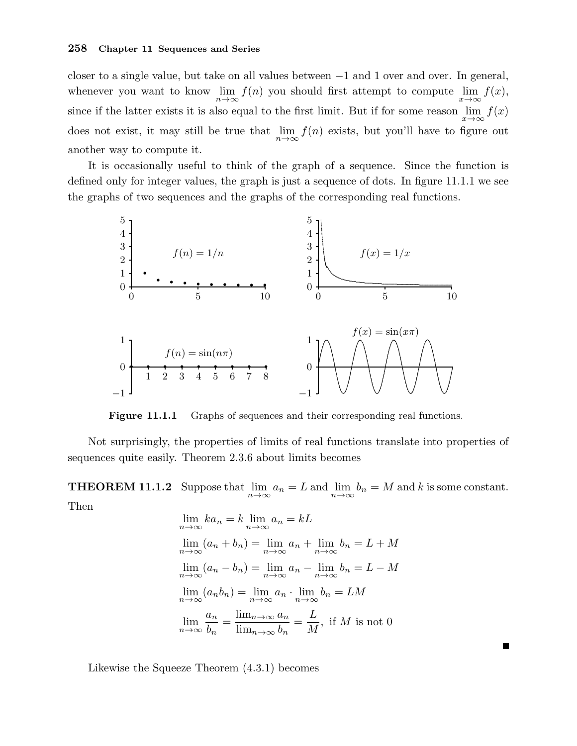closer to a single value, but take on all values between −1 and 1 over and over. In general, whenever you want to know  $\lim_{n\to\infty} f(n)$  you should first attempt to compute  $\lim_{x\to\infty} f(x)$ , since if the latter exists it is also equal to the first limit. But if for some reason  $\lim_{x\to\infty} f(x)$ does not exist, it may still be true that  $\lim_{n\to\infty} f(n)$  exists, but you'll have to figure out another way to compute it.

It is occasionally useful to think of the graph of a sequence. Since the function is defined only for integer values, the graph is just a sequence of dots. In figure 11.1.1 we see the graphs of two sequences and the graphs of the corresponding real functions.



Figure 11.1.1 Graphs of sequences and their corresponding real functions.

Not surprisingly, the properties of limits of real functions translate into properties of sequences quite easily. Theorem 2.3.6 about limits becomes

**THEOREM 11.1.2** Suppose that  $\lim_{n\to\infty} a_n = L$  and  $\lim_{n\to\infty} b_n = M$  and k is some constant. Then

$$
\lim_{n \to \infty} ka_n = k \lim_{n \to \infty} a_n = kL
$$
  
\n
$$
\lim_{n \to \infty} (a_n + b_n) = \lim_{n \to \infty} a_n + \lim_{n \to \infty} b_n = L + M
$$
  
\n
$$
\lim_{n \to \infty} (a_n - b_n) = \lim_{n \to \infty} a_n - \lim_{n \to \infty} b_n = L - M
$$
  
\n
$$
\lim_{n \to \infty} (a_n b_n) = \lim_{n \to \infty} a_n \cdot \lim_{n \to \infty} b_n = LM
$$
  
\n
$$
\lim_{n \to \infty} \frac{a_n}{b_n} = \frac{\lim_{n \to \infty} a_n}{\lim_{n \to \infty} b_n} = \frac{L}{M}, \text{ if } M \text{ is not 0}
$$

 $\blacksquare$ 

Likewise the Squeeze Theorem (4.3.1) becomes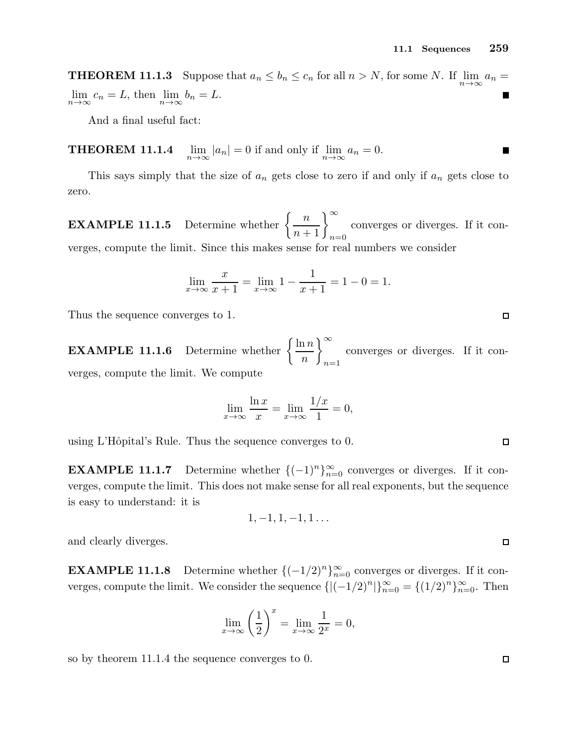**THEOREM 11.1.3** Suppose that  $a_n \le b_n \le c_n$  for all  $n > N$ , for some N. If  $\lim_{n \to \infty} a_n =$  $\lim_{n \to \infty} c_n = L$ , then  $\lim_{n \to \infty} b_n = L$ .

And a final useful fact:

THEOREM 11.1.4  $|a_n| = 0$  if and only if  $\lim_{n \to \infty} a_n = 0$ . П

This says simply that the size of  $a_n$  gets close to zero if and only if  $a_n$  gets close to zero.

**EXAMPLE 11.1.5** Determine whether  $\left\{\frac{n}{n+1}\right\}_{n=0}^{\infty}$ converges or diverges. If it converges, compute the limit. Since this makes sense for real numbers we consider

$$
\lim_{x \to \infty} \frac{x}{x+1} = \lim_{x \to \infty} 1 - \frac{1}{x+1} = 1 - 0 = 1.
$$

Thus the sequence converges to 1.

**EXAMPLE 11.1.6** Determine whether  $\left\{\frac{\ln n}{n}\right\}$ n  $\big)$   $\infty$  $n=1$ converges or diverges. If it converges, compute the limit. We compute

$$
\lim_{x \to \infty} \frac{\ln x}{x} = \lim_{x \to \infty} \frac{1/x}{1} = 0,
$$

using L'Hôpital's Rule. Thus the sequence converges to 0.

**EXAMPLE 11.1.7** Determine whether  $\{(-1)^n\}_{n=0}^{\infty}$  converges or diverges. If it converges, compute the limit. This does not make sense for all real exponents, but the sequence is easy to understand: it is

$$
1,-1,1,-1,1\ldots
$$

and clearly diverges.

**EXAMPLE 11.1.8** Determine whether  $\{(-1/2)^n\}_{n=0}^{\infty}$  converges or diverges. If it converges, compute the limit. We consider the sequence  $\{|(-1/2)^n|\}_{n=0}^{\infty} = \{(1/2)^n\}_{n=0}^{\infty}$ . Then

$$
\lim_{x \to \infty} \left(\frac{1}{2}\right)^x = \lim_{x \to \infty} \frac{1}{2^x} = 0,
$$

so by theorem 11.1.4 the sequence converges to 0.

 $\Box$ 

 $\Box$ 

 $\Box$ 

 $\Box$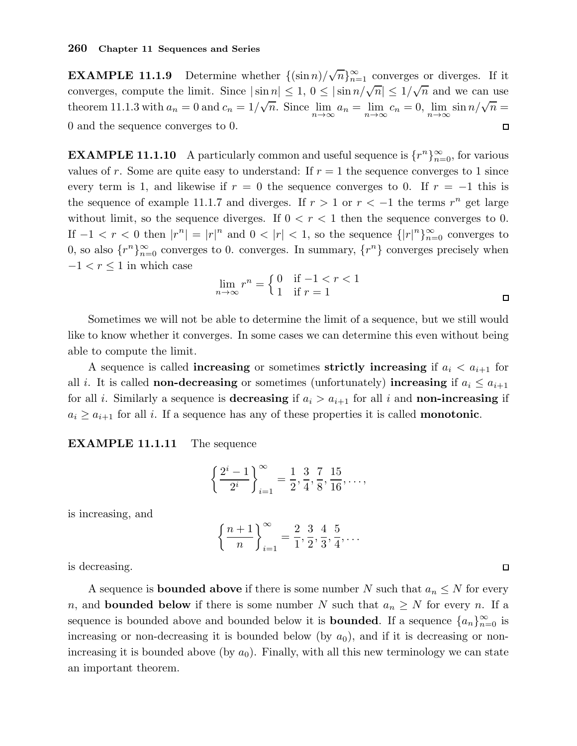**EXAMPLE 11.1.9** Determine whether  $\{(\sin n)/\sqrt{n}\}_{n=1}^{\infty}$  converges or diverges. If it converges, compute the limit. Since  $|\sin n| \leq 1$ ,  $0 \leq |\sin n/\sqrt{n}| \leq 1/\sqrt{n}$  and we can use theorem 11.1.3 with  $a_n = 0$  and  $c_n = 1/\sqrt{n}$ . Since  $\lim_{n \to \infty} a_n = \lim_{n \to \infty} c_n = 0$ ,  $\lim_{n \to \infty} \sin n/\sqrt{n} =$ 0 and the sequence converges to 0.  $\Box$ 

**EXAMPLE 11.1.10** A particularly common and useful sequence is  $\{r^n\}_{n=0}^{\infty}$ , for various values of r. Some are quite easy to understand: If  $r = 1$  the sequence converges to 1 since every term is 1, and likewise if  $r = 0$  the sequence converges to 0. If  $r = -1$  this is the sequence of example 11.1.7 and diverges. If  $r > 1$  or  $r < -1$  the terms  $r^n$  get large without limit, so the sequence diverges. If  $0 < r < 1$  then the sequence converges to 0. If  $-1 < r < 0$  then  $|r^n| = |r|^n$  and  $0 < |r| < 1$ , so the sequence  $\{|r|^n\}_{n=0}^{\infty}$  converges to 0, so also  $\{r^n\}_{n=0}^{\infty}$  converges to 0. converges. In summary,  $\{r^n\}$  converges precisely when  $-1 < r < 1$  in which case

$$
\lim_{n \to \infty} r^n = \begin{cases} 0 & \text{if } -1 < r < 1 \\ 1 & \text{if } r = 1 \end{cases}
$$

Sometimes we will not be able to determine the limit of a sequence, but we still would like to know whether it converges. In some cases we can determine this even without being able to compute the limit.

A sequence is called **increasing** or sometimes **strictly increasing** if  $a_i < a_{i+1}$  for all *i*. It is called **non-decreasing** or sometimes (unfortunately) **increasing** if  $a_i \leq a_{i+1}$ for all *i*. Similarly a sequence is **decreasing** if  $a_i > a_{i+1}$  for all *i* and **non-increasing** if  $a_i \ge a_{i+1}$  for all i. If a sequence has any of these properties it is called **monotonic**.

EXAMPLE 11.1.11 The sequence

$$
\left\{\frac{2^i-1}{2^i}\right\}_{i=1}^{\infty} = \frac{1}{2}, \frac{3}{4}, \frac{7}{8}, \frac{15}{16}, \dots,
$$

is increasing, and

$$
\left\{\frac{n+1}{n}\right\}_{i=1}^{\infty} = \frac{2}{1}, \frac{3}{2}, \frac{4}{3}, \frac{5}{4}, \dots
$$

is decreasing.

A sequence is **bounded above** if there is some number N such that  $a_n \leq N$  for every n, and **bounded below** if there is some number N such that  $a_n \geq N$  for every n. If a sequence is bounded above and bounded below it is **bounded**. If a sequence  $\{a_n\}_{n=0}^{\infty}$  is increasing or non-decreasing it is bounded below (by  $a_0$ ), and if it is decreasing or nonincreasing it is bounded above (by  $a_0$ ). Finally, with all this new terminology we can state an important theorem.

 $\Box$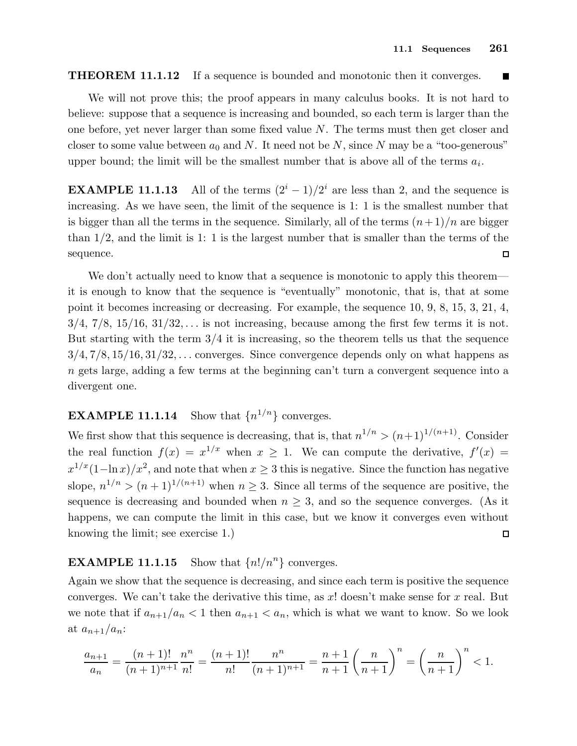#### **THEOREM 11.1.12** If a sequence is bounded and monotonic then it converges.  $\blacksquare$

We will not prove this; the proof appears in many calculus books. It is not hard to believe: suppose that a sequence is increasing and bounded, so each term is larger than the one before, yet never larger than some fixed value  $N$ . The terms must then get closer and closer to some value between  $a_0$  and N. It need not be N, since N may be a "too-generous" upper bound; the limit will be the smallest number that is above all of the terms  $a_i$ .

**EXAMPLE 11.1.13** All of the terms  $(2^{i} - 1)/2^{i}$  are less than 2, and the sequence is increasing. As we have seen, the limit of the sequence is 1: 1 is the smallest number that is bigger than all the terms in the sequence. Similarly, all of the terms  $(n+1)/n$  are bigger than  $1/2$ , and the limit is 1: 1 is the largest number that is smaller than the terms of the sequence.  $\Box$ 

We don't actually need to know that a sequence is monotonic to apply this theorem it is enough to know that the sequence is "eventually" monotonic, that is, that at some point it becomes increasing or decreasing. For example, the sequence 10, 9, 8, 15, 3, 21, 4,  $3/4$ ,  $7/8$ ,  $15/16$ ,  $31/32$ ,... is not increasing, because among the first few terms it is not. But starting with the term  $3/4$  it is increasing, so the theorem tells us that the sequence  $3/4, 7/8, 15/16, 31/32, \ldots$  converges. Since convergence depends only on what happens as n gets large, adding a few terms at the beginning can't turn a convergent sequence into a divergent one.

#### $EXAMPLE 11.1.14$ Show that  $\{n^{1/n}\}\)$  converges.

We first show that this sequence is decreasing, that is, that  $n^{1/n} > (n+1)^{1/(n+1)}$ . Consider the real function  $f(x) = x^{1/x}$  when  $x \ge 1$ . We can compute the derivative,  $f'(x) =$  $x^{1/x}(1-\ln x)/x^2$ , and note that when  $x \ge 3$  this is negative. Since the function has negative slope,  $n^{1/n} > (n+1)^{1/(n+1)}$  when  $n \geq 3$ . Since all terms of the sequence are positive, the sequence is decreasing and bounded when  $n \geq 3$ , and so the sequence converges. (As it happens, we can compute the limit in this case, but we know it converges even without knowing the limit; see exercise 1.)  $\Box$ 

## **EXAMPLE 11.1.15** Show that  $\{n!/n^n\}$  converges.

Again we show that the sequence is decreasing, and since each term is positive the sequence converges. We can't take the derivative this time, as  $x!$  doesn't make sense for  $x$  real. But we note that if  $a_{n+1}/a_n < 1$  then  $a_{n+1} < a_n$ , which is what we want to know. So we look at  $a_{n+1}/a_n$ :

$$
\frac{a_{n+1}}{a_n} = \frac{(n+1)!}{(n+1)^{n+1}} \frac{n^n}{n!} = \frac{(n+1)!}{n!} \frac{n^n}{(n+1)^{n+1}} = \frac{n+1}{n+1} \left(\frac{n}{n+1}\right)^n = \left(\frac{n}{n+1}\right)^n < 1.
$$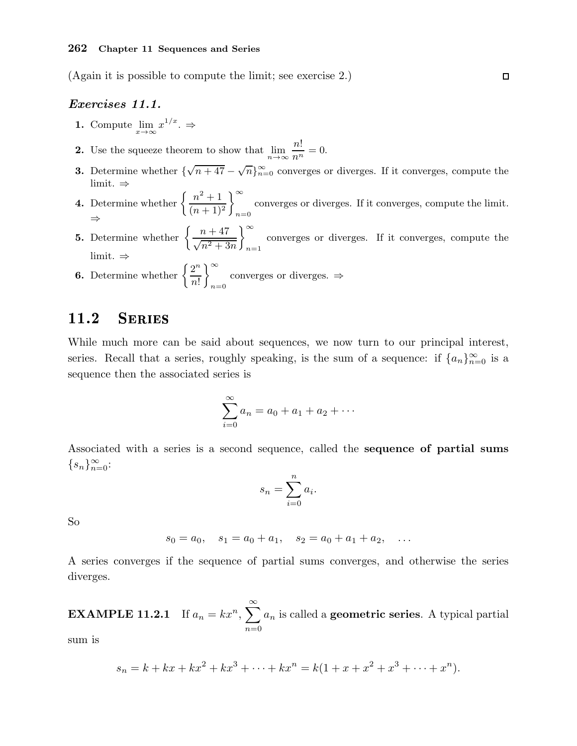(Again it is possible to compute the limit; see exercise 2.)

## Exercises 11.1.

1. Compute  $\lim_{x \to \infty} x^{1/x}$ .  $\Rightarrow$ 

**2.** Use the squeeze theorem to show that  $\lim_{n \to \infty} \frac{n!}{n^n} = 0$ .

- **3.** Determine whether  $\{\sqrt{n+47} \sqrt{n}\}_{n=0}^{\infty}$  converges or diverges. If it converges, compute the limit. ⇒
- **4.** Determine whether  $\left\{\frac{n^2+1}{(n+1)^2}\right\}$  $(n+1)^2$  $\bigg|^{\infty}$  $n=0$ converges or diverges. If it converges, compute the limit. ⇒
- **5.** Determine whether  $\left\{\frac{n+47}{\sqrt{2n+6}}\right\}$  $\sqrt{n^2+3n}$  $\big)$   $\infty$  $n=1$ converges or diverges. If it converges, compute the limit. ⇒

**6.** Determine whether  $\left\{\frac{2^n}{4}\right\}$ n! <sup>∞</sup> converges or diverges.  $\Rightarrow$ <br> $n=0$ 

## 11.2 Series

While much more can be said about sequences, we now turn to our principal interest, series. Recall that a series, roughly speaking, is the sum of a sequence: if  $\{a_n\}_{n=0}^{\infty}$  is a sequence then the associated series is

$$
\sum_{i=0}^{\infty} a_i = a_0 + a_1 + a_2 + \cdots
$$

Associated with a series is a second sequence, called the sequence of partial sums  $\{s_n\}_{n=0}^{\infty}$ :

$$
s_n = \sum_{i=0}^n a_i.
$$

So

$$
s_0 = a_0, \quad s_1 = a_0 + a_1, \quad s_2 = a_0 + a_1 + a_2, \quad \dots
$$

A series converges if the sequence of partial sums converges, and otherwise the series diverges.

**EXAMPLE 11.2.1** If  $a_n = kx^n$ ,  $\sum_{n=1}^{\infty}$  $n=0$  $a_n$  is called a **geometric series**. A typical partial

sum is

$$
s_n = k + kx + kx^2 + kx^3 + \dots + kx^n = k(1 + x + x^2 + x^3 + \dots + x^n).
$$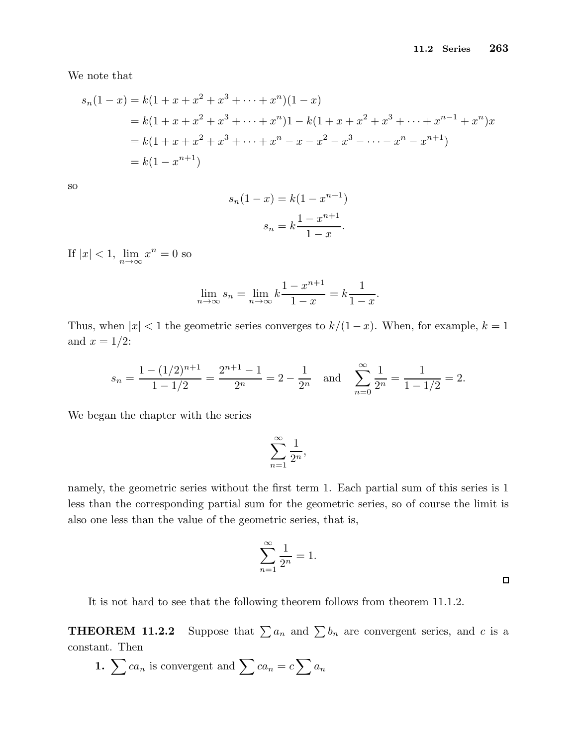We note that

$$
s_n(1-x) = k(1+x+x^2+x^3+\cdots+x^n)(1-x)
$$
  
=  $k(1+x+x^2+x^3+\cdots+x^n)1-k(1+x+x^2+x^3+\cdots+x^{n-1}+x^n)x$   
=  $k(1+x+x^2+x^3+\cdots+x^n-x-x^2-x^3-\cdots-x^n-x^{n+1})$   
=  $k(1-x^{n+1})$ 

so

$$
s_n(1-x) = k(1 - x^{n+1})
$$

$$
s_n = k \frac{1 - x^{n+1}}{1 - x}.
$$

If  $|x| < 1$ ,  $\lim_{n \to \infty} x^n = 0$  so

$$
\lim_{n \to \infty} s_n = \lim_{n \to \infty} k \frac{1 - x^{n+1}}{1 - x} = k \frac{1}{1 - x}.
$$

Thus, when  $|x| < 1$  the geometric series converges to  $k/(1-x)$ . When, for example,  $k = 1$ and  $x = 1/2$ :

$$
s_n = \frac{1 - (1/2)^{n+1}}{1 - 1/2} = \frac{2^{n+1} - 1}{2^n} = 2 - \frac{1}{2^n}
$$
 and  $\sum_{n=0}^{\infty} \frac{1}{2^n} = \frac{1}{1 - 1/2} = 2$ .

We began the chapter with the series

$$
\sum_{n=1}^{\infty} \frac{1}{2^n},
$$

namely, the geometric series without the first term 1. Each partial sum of this series is 1 less than the corresponding partial sum for the geometric series, so of course the limit is also one less than the value of the geometric series, that is,

$$
\sum_{n=1}^{\infty} \frac{1}{2^n} = 1.
$$

 $\Box$ 

It is not hard to see that the following theorem follows from theorem 11.1.2.

**THEOREM 11.2.2** Suppose that  $\sum a_n$  and  $\sum b_n$  are convergent series, and c is a constant. Then

1.  $\sum ca_n$  is convergent and  $\sum ca_n = c \sum a_n$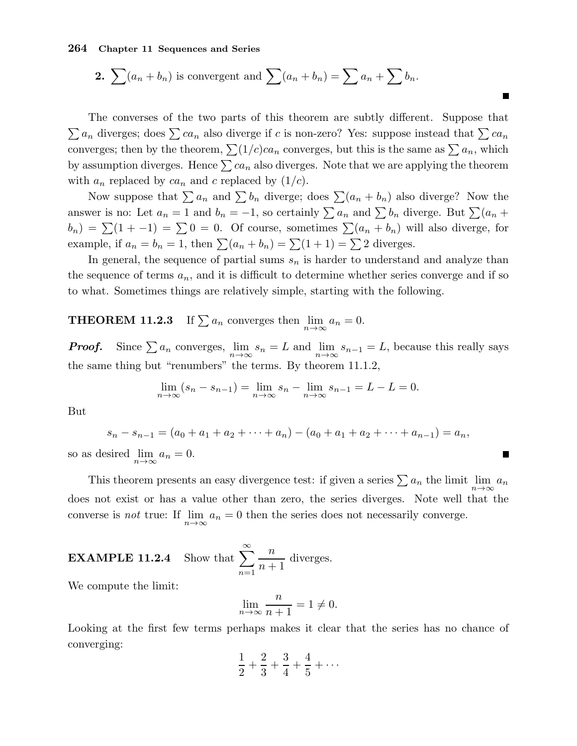**2.** 
$$
\sum (a_n + b_n)
$$
 is convergent and 
$$
\sum (a_n + b_n) = \sum a_n + \sum b_n.
$$

The converses of the two parts of this theorem are subtly different. Suppose that  $\sum a_n$  diverges; does  $\sum ca_n$  also diverge if c is non-zero? Yes: suppose instead that  $\sum ca_n$ converges; then by the theorem,  $\sum (1/c)ca_n$  converges, but this is the same as  $\sum a_n$ , which by assumption diverges. Hence  $\sum ca_n$  also diverges. Note that we are applying the theorem with  $a_n$  replaced by  $ca_n$  and c replaced by  $(1/c)$ .

 $\overline{\phantom{a}}$ 

п

Now suppose that  $\sum a_n$  and  $\sum b_n$  diverge; does  $\sum (a_n + b_n)$  also diverge? Now the answer is no: Let  $a_n = 1$  and  $b_n = -1$ , so certainly  $\sum a_n$  and  $\sum b_n$  diverge. But  $\sum (a_n + b_n)$  $b_n$ ) =  $\sum(1 + -1)$  =  $\sum 0 = 0$ . Of course, sometimes  $\sum(a_n + b_n)$  will also diverge, for example, if  $a_n = b_n = 1$ , then  $\sum (a_n + b_n) = \sum (1 + 1) = \sum 2$  diverges.

In general, the sequence of partial sums  $s_n$  is harder to understand and analyze than the sequence of terms  $a_n$ , and it is difficult to determine whether series converge and if so to what. Sometimes things are relatively simple, starting with the following.

**THEOREM 11.2.3** If  $\sum a_n$  converges then  $\lim_{n\to\infty} a_n = 0$ .

**Proof.** Since  $\sum a_n$  converges,  $\lim_{n\to\infty} s_n = L$  and  $\lim_{n\to\infty} s_{n-1} = L$ , because this really says the same thing but "renumbers" the terms. By theorem 11.1.2,

$$
\lim_{n \to \infty} (s_n - s_{n-1}) = \lim_{n \to \infty} s_n - \lim_{n \to \infty} s_{n-1} = L - L = 0.
$$

But

$$
s_n - s_{n-1} = (a_0 + a_1 + a_2 + \dots + a_n) - (a_0 + a_1 + a_2 + \dots + a_{n-1}) = a_n,
$$
  
s desired  $\lim_{n \to \infty} a_n = 0.$ 

so as desired  $\lim_{n\to\infty}$ 

This theorem presents an easy divergence test: if given a series  $\sum a_n$  the limit  $\lim_{n\to\infty} a_n$ does not exist or has a value other than zero, the series diverges. Note well that the converse is *not* true: If  $\lim_{n\to\infty} a_n = 0$  then the series does not necessarily converge.

**EXAMPLE 11.2.4** Show that 
$$
\sum_{n=1}^{\infty} \frac{n}{n+1}
$$
 diverges.

We compute the limit:

$$
\lim_{n \to \infty} \frac{n}{n+1} = 1 \neq 0.
$$

Looking at the first few terms perhaps makes it clear that the series has no chance of converging:

$$
\frac{1}{2} + \frac{2}{3} + \frac{3}{4} + \frac{4}{5} + \cdots
$$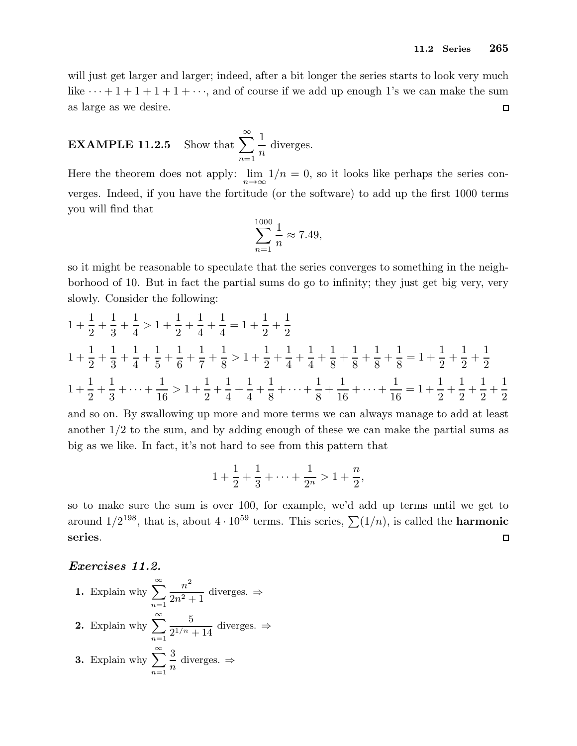will just get larger and larger; indeed, after a bit longer the series starts to look very much like  $\cdots + 1 + 1 + 1 + 1 + \cdots$ , and of course if we add up enough 1's we can make the sum as large as we desire.  $\Box$ 

**EXAMPLE 11.2.5** Show that  $\sum_{n=1}^{\infty}$  $n=1$ 1 n diverges.

Here the theorem does not apply:  $\lim_{n\to\infty} 1/n = 0$ , so it looks like perhaps the series converges. Indeed, if you have the fortitude (or the software) to add up the first 1000 terms you will find that

$$
\sum_{n=1}^{1000} \frac{1}{n} \approx 7.49,
$$

so it might be reasonable to speculate that the series converges to something in the neighborhood of 10. But in fact the partial sums do go to infinity; they just get big very, very slowly. Consider the following:

$$
1 + \frac{1}{2} + \frac{1}{3} + \frac{1}{4} > 1 + \frac{1}{2} + \frac{1}{4} + \frac{1}{4} = 1 + \frac{1}{2} + \frac{1}{2}
$$
  
\n
$$
1 + \frac{1}{2} + \frac{1}{3} + \frac{1}{4} + \frac{1}{5} + \frac{1}{6} + \frac{1}{7} + \frac{1}{8} > 1 + \frac{1}{2} + \frac{1}{4} + \frac{1}{4} + \frac{1}{8} + \frac{1}{8} + \frac{1}{8} + \frac{1}{8} + \frac{1}{8} = 1 + \frac{1}{2} + \frac{1}{2} + \frac{1}{2}
$$
  
\n
$$
1 + \frac{1}{2} + \frac{1}{3} + \dots + \frac{1}{16} > 1 + \frac{1}{2} + \frac{1}{4} + \frac{1}{4} + \frac{1}{8} + \dots + \frac{1}{8} + \frac{1}{16} + \dots + \frac{1}{16} = 1 + \frac{1}{2} + \frac{1}{2} + \frac{1}{2} + \frac{1}{2}
$$

and so on. By swallowing up more and more terms we can always manage to add at least another 1/2 to the sum, and by adding enough of these we can make the partial sums as big as we like. In fact, it's not hard to see from this pattern that

$$
1 + \frac{1}{2} + \frac{1}{3} + \dots + \frac{1}{2^n} > 1 + \frac{n}{2},
$$

so to make sure the sum is over 100, for example, we'd add up terms until we get to around  $1/2^{198}$ , that is, about  $4 \cdot 10^{59}$  terms. This series,  $\sum (1/n)$ , is called the **harmonic** series.  $\Box$ 

## Exercises 11.2.

\n- **1.** Explain why 
$$
\sum_{n=1}^{\infty} \frac{n^2}{2n^2 + 1}
$$
 diverges.  $\Rightarrow$
\n- **2.** Explain why  $\sum_{n=1}^{\infty} \frac{5}{2^{1/n} + 14}$  diverges.  $\Rightarrow$
\n- **3.** Explain why  $\sum_{n=1}^{\infty} \frac{3}{n}$  diverges.  $\Rightarrow$
\n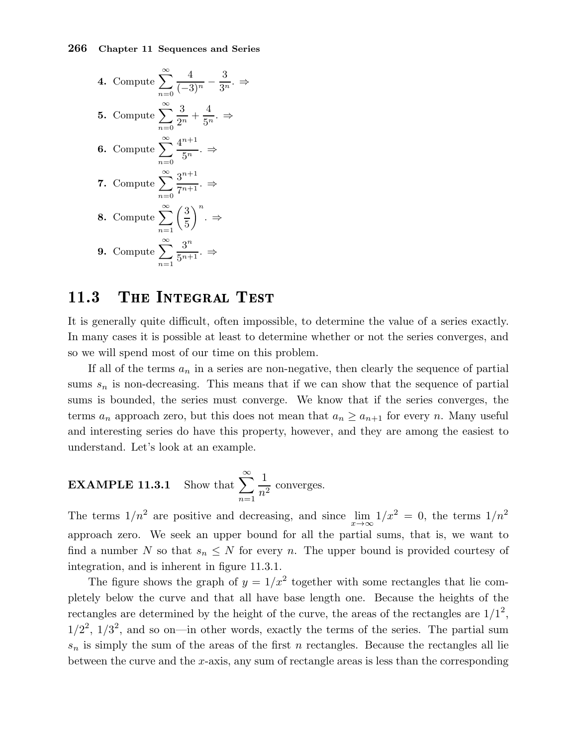4. Compute 
$$
\sum_{n=0}^{\infty} \frac{4}{(-3)^n} - \frac{3}{3^n} \Rightarrow
$$
  
\n5. Compute 
$$
\sum_{n=0}^{\infty} \frac{3}{2^n} + \frac{4}{5^n} \Rightarrow
$$
  
\n6. Compute 
$$
\sum_{n=0}^{\infty} \frac{4^{n+1}}{5^n} \Rightarrow
$$
  
\n7. Compute 
$$
\sum_{n=0}^{\infty} \frac{3^{n+1}}{7^{n+1}} \Rightarrow
$$
  
\n8. Compute 
$$
\sum_{n=1}^{\infty} \left(\frac{3}{5}\right)^n \Rightarrow
$$
  
\n9. Compute 
$$
\sum_{n=1}^{\infty} \frac{3^n}{5^{n+1}} \Rightarrow
$$

## 11.3 The Integral Test

It is generally quite difficult, often impossible, to determine the value of a series exactly. In many cases it is possible at least to determine whether or not the series converges, and so we will spend most of our time on this problem.

If all of the terms  $a_n$  in a series are non-negative, then clearly the sequence of partial sums  $s_n$  is non-decreasing. This means that if we can show that the sequence of partial sums is bounded, the series must converge. We know that if the series converges, the terms  $a_n$  approach zero, but this does not mean that  $a_n \ge a_{n+1}$  for every n. Many useful and interesting series do have this property, however, and they are among the easiest to understand. Let's look at an example.

**EXAMPLE 11.3.1** Show that 
$$
\sum_{n=1}^{\infty} \frac{1}{n^2}
$$
 converges.

The terms  $1/n^2$  are positive and decreasing, and since  $\lim_{x\to\infty} 1/x^2 = 0$ , the terms  $1/n^2$ approach zero. We seek an upper bound for all the partial sums, that is, we want to find a number N so that  $s_n \leq N$  for every n. The upper bound is provided courtesy of integration, and is inherent in figure 11.3.1.

The figure shows the graph of  $y = 1/x^2$  together with some rectangles that lie completely below the curve and that all have base length one. Because the heights of the rectangles are determined by the height of the curve, the areas of the rectangles are  $1/1^2$ ,  $1/2^2$ ,  $1/3^2$ , and so on—in other words, exactly the terms of the series. The partial sum  $s_n$  is simply the sum of the areas of the first n rectangles. Because the rectangles all lie between the curve and the  $x$ -axis, any sum of rectangle areas is less than the corresponding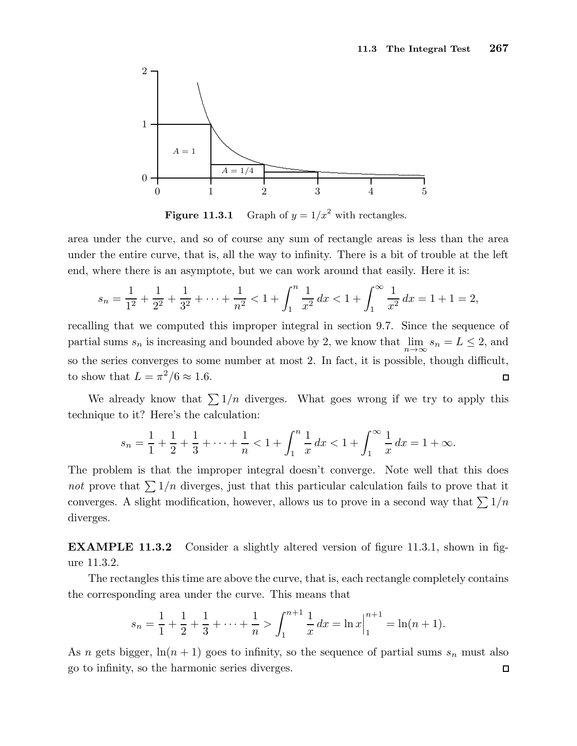

**Figure 11.3.1** Graph of  $y = 1/x^2$  with rectangles.

area under the curve, and so of course any sum of rectangle areas is less than the area under the entire curve, that is, all the way to infinity. There is a bit of trouble at the left end, where there is an asymptote, but we can work around that easily. Here it is:

$$
s_n = \frac{1}{1^2} + \frac{1}{2^2} + \frac{1}{3^2} + \dots + \frac{1}{n^2} < 1 + \int_1^n \frac{1}{x^2} \, dx < 1 + \int_1^\infty \frac{1}{x^2} \, dx = 1 + 1 = 2,
$$

recalling that we computed this improper integral in section 9.7. Since the sequence of partial sums  $s_n$  is increasing and bounded above by 2, we know that  $\lim_{n\to\infty} s_n = L \leq 2$ , and so the series converges to some number at most 2. In fact, it is possible, though difficult, to show that  $L = \pi^2/6 \approx 1.6$ .  $\Box$ 

We already know that  $\sum 1/n$  diverges. What goes wrong if we try to apply this technique to it? Here's the calculation:

$$
s_n = \frac{1}{1} + \frac{1}{2} + \frac{1}{3} + \dots + \frac{1}{n} < 1 + \int_1^n \frac{1}{x} \, dx < 1 + \int_1^\infty \frac{1}{x} \, dx = 1 + \infty.
$$

The problem is that the improper integral doesn't converge. Note well that this does not prove that  $\sum 1/n$  diverges, just that this particular calculation fails to prove that it converges. A slight modification, however, allows us to prove in a second way that  $\sum 1/n$ diverges.

EXAMPLE 11.3.2 Consider a slightly altered version of figure 11.3.1, shown in figure 11.3.2.

The rectangles this time are above the curve, that is, each rectangle completely contains the corresponding area under the curve. This means that

$$
s_n = \frac{1}{1} + \frac{1}{2} + \frac{1}{3} + \dots + \frac{1}{n} > \int_1^{n+1} \frac{1}{x} dx = \ln x \Big|_1^{n+1} = \ln(n+1).
$$

As n gets bigger,  $\ln(n + 1)$  goes to infinity, so the sequence of partial sums  $s_n$  must also go to infinity, so the harmonic series diverges. $\Box$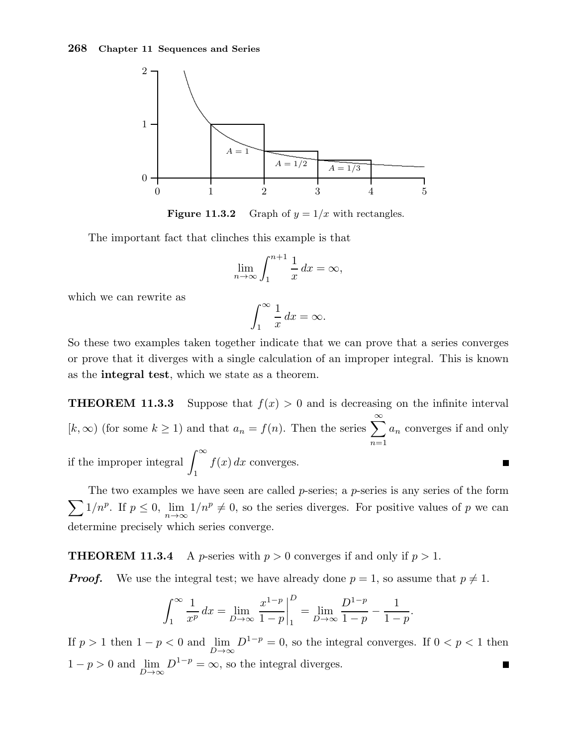

**Figure 11.3.2** Graph of  $y = 1/x$  with rectangles.

The important fact that clinches this example is that

$$
\lim_{n \to \infty} \int_{1}^{n+1} \frac{1}{x} dx = \infty,
$$

which we can rewrite as

$$
\int_{1}^{\infty} \frac{1}{x} \, dx = \infty.
$$

So these two examples taken together indicate that we can prove that a series converges or prove that it diverges with a single calculation of an improper integral. This is known as the integral test, which we state as a theorem.

**THEOREM 11.3.3** Suppose that  $f(x) > 0$  and is decreasing on the infinite interval  $[k, \infty)$  (for some  $k \ge 1$ ) and that  $a_n = f(n)$ . Then the series  $\sum_{n=1}^{\infty}$  $a_n$  converges if and only  $n=1$ if the improper integral  $\int^{\infty}$  $f(x) dx$  converges. П 1

 $\sum 1/n^p$ . If  $p \le 0$ ,  $\lim_{n \to \infty} 1/n^p \ne 0$ , so the series diverges. For positive values of p we can The two examples we have seen are called  $p$ -series; a  $p$ -series is any series of the form determine precisely which series converge.

**THEOREM 11.3.4** A *p*-series with  $p > 0$  converges if and only if  $p > 1$ .

**Proof.** We use the integral test; we have already done  $p = 1$ , so assume that  $p \neq 1$ .

$$
\int_{1}^{\infty} \frac{1}{x^{p}} dx = \lim_{D \to \infty} \frac{x^{1-p}}{1-p} \bigg|_{1}^{D} = \lim_{D \to \infty} \frac{D^{1-p}}{1-p} - \frac{1}{1-p}.
$$

If  $p > 1$  then  $1 - p < 0$  and  $\lim_{D \to \infty} D^{1-p} = 0$ , so the integral converges. If  $0 < p < 1$  then  $1 - p > 0$  and  $\lim_{D \to \infty} D^{1-p} = \infty$ , so the integral diverges. П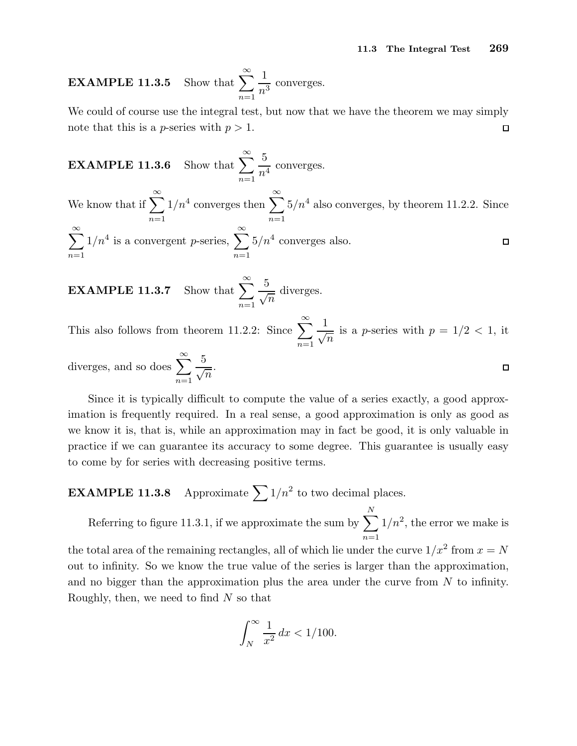EXAMPLE  $11.3.5$  $n=1$ 1  $\frac{1}{n^3}$  converges.

We could of course use the integral test, but now that we have the theorem we may simply note that this is a *p*-series with  $p > 1$ .  $\Box$ 

**EXAMPLE 11.3.6** Show that 
$$
\sum_{n=1}^{\infty} \frac{5}{n^4}
$$
 converges.

We know that if  $\sum_{n=1}^{\infty}$  $1/n^4$  converges then  $\sum_{n=1}^{\infty}$  $5/n<sup>4</sup>$  also converges, by theorem 11.2.2. Since  $n=1$  $n=1$  $\sum^{\infty}$  $1/n^4$  is a convergent *p*-series,  $\sum_{n=1}^{\infty}$  $5/n^4$  converges also.  $\Box$  $n=1$  $n=1$ 

**EXAMPLE 11.3.7** Show that 
$$
\sum_{n=1}^{\infty} \frac{5}{\sqrt{n}}
$$
 diverges.

This also follows from theorem 11.2.2: Since  $\sum_{n=1}^{\infty}$  $n=1$ 1  $\sqrt{n}$ is a *p*-series with  $p = 1/2 < 1$ , it

diverges, and so does 
$$
\sum_{n=1}^{\infty} \frac{5}{\sqrt{n}}
$$
.

Since it is typically difficult to compute the value of a series exactly, a good approximation is frequently required. In a real sense, a good approximation is only as good as we know it is, that is, while an approximation may in fact be good, it is only valuable in practice if we can guarantee its accuracy to some degree. This guarantee is usually easy to come by for series with decreasing positive terms.

**EXAMPLE 11.3.8** Approximate  $\sum 1/n^2$  to two decimal places.

Referring to figure 11.3.1, if we approximate the sum by  $\sum$ N  $n=1$  $1/n^2$ , the error we make is the total area of the remaining rectangles, all of which lie under the curve  $1/x^2$  from  $x = N$ out to infinity. So we know the true value of the series is larger than the approximation, and no bigger than the approximation plus the area under the curve from  $N$  to infinity. Roughly, then, we need to find  $N$  so that

$$
\int_{N}^{\infty} \frac{1}{x^2} dx < 1/100.
$$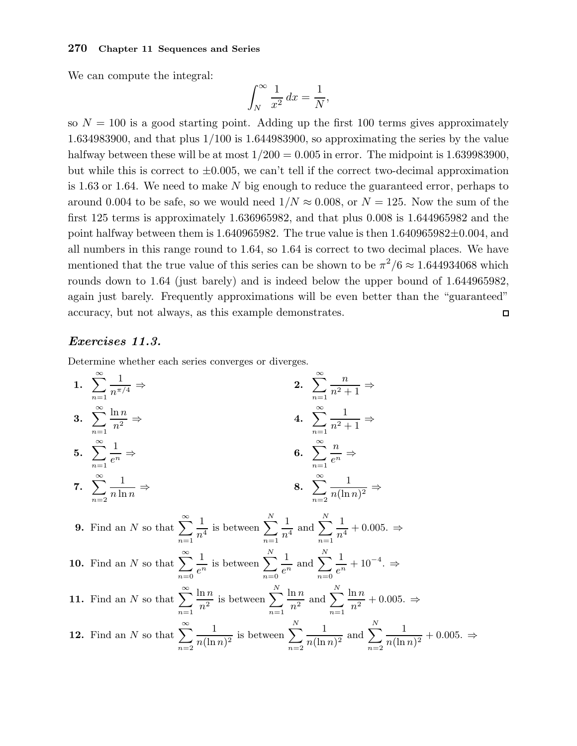We can compute the integral:

$$
\int_{N}^{\infty} \frac{1}{x^2} dx = \frac{1}{N},
$$

so  $N = 100$  is a good starting point. Adding up the first 100 terms gives approximately 1.634983900, and that plus 1/100 is 1.644983900, so approximating the series by the value halfway between these will be at most  $1/200 = 0.005$  in error. The midpoint is 1.639983900, but while this is correct to  $\pm 0.005$ , we can't tell if the correct two-decimal approximation is 1.63 or 1.64. We need to make  $N$  big enough to reduce the guaranteed error, perhaps to around 0.004 to be safe, so we would need  $1/N \approx 0.008$ , or  $N = 125$ . Now the sum of the first 125 terms is approximately 1.636965982, and that plus 0.008 is 1.644965982 and the point halfway between them is 1.640965982. The true value is then  $1.640965982 \pm 0.004$ , and all numbers in this range round to 1.64, so 1.64 is correct to two decimal places. We have mentioned that the true value of this series can be shown to be  $\pi^2/6 \approx 1.644934068$  which rounds down to 1.64 (just barely) and is indeed below the upper bound of 1.644965982, again just barely. Frequently approximations will be even better than the "guaranteed" accuracy, but not always, as this example demonstrates.  $\Box$ 

## Exercises 11.3.

Determine whether each series converges or diverges.

1. 
$$
\sum_{n=1}^{\infty} \frac{1}{n^{\pi/4}} \Rightarrow
$$
\n2. 
$$
\sum_{n=1}^{\infty} \frac{n}{n^2 + 1} \Rightarrow
$$
\n3. 
$$
\sum_{n=1}^{\infty} \frac{\ln n}{n^2} \Rightarrow
$$
\n4. 
$$
\sum_{n=1}^{\infty} \frac{1}{n^2 + 1} \Rightarrow
$$
\n5. 
$$
\sum_{n=1}^{\infty} \frac{1}{e^n} \Rightarrow
$$
\n6. 
$$
\sum_{n=1}^{\infty} \frac{n}{e^n} \Rightarrow
$$
\n7. 
$$
\sum_{n=2}^{\infty} \frac{1}{n \ln n} \Rightarrow
$$
\n8. 
$$
\sum_{n=2}^{\infty} \frac{1}{n(\ln n)^2} \Rightarrow
$$
\n9. Find an *N* so that 
$$
\sum_{n=1}^{\infty} \frac{1}{n^4}
$$
 is between 
$$
\sum_{n=0}^{N} \frac{1}{e^n}
$$
 and 
$$
\sum_{n=0}^{N} \frac{1}{e^n} + 10^{-4} \Rightarrow
$$
\n11. Find an *N* so that 
$$
\sum_{n=0}^{\infty} \frac{\ln n}{e^n}
$$
 is between 
$$
\sum_{n=1}^{N} \frac{1}{n^2}
$$
 and 
$$
\sum_{n=1}^{N} \frac{1}{n^2} + 10^{-4} \Rightarrow
$$
\n12. Find an *N* so that 
$$
\sum_{n=1}^{\infty} \frac{\ln n}{n^2}
$$
 is between 
$$
\sum_{n=1}^{N} \frac{\ln n}{n^2}
$$
 and 
$$
\sum_{n=1}^{N} \frac{\ln n}{n^2} + 0.005 \Rightarrow
$$
\n13. Find an *N* so that 
$$
\sum_{n=2}^{\infty} \frac{1}{n(\ln n)^2}
$$
 is between 
$$
\sum_{n=2}^{N} \frac{1}{n(\ln n)^2}
$$
 and 
$$
\sum_{n=2}^{N} \frac{1}{n(\ln n)^2} + 0.005 \Rightarrow
$$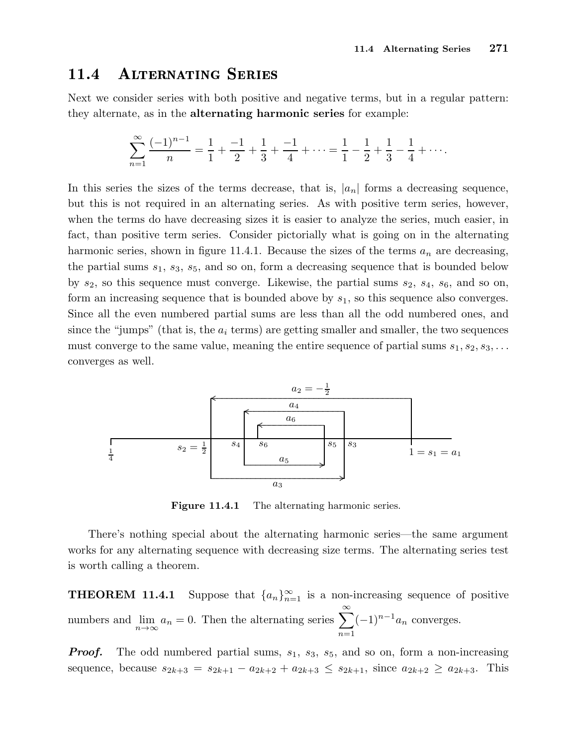#### ALTERNATING SERIES 11.4

Next we consider series with both positive and negative terms, but in a regular pattern: they alternate, as in the alternating harmonic series for example:

$$
\sum_{n=1}^{\infty} \frac{(-1)^{n-1}}{n} = \frac{1}{1} + \frac{-1}{2} + \frac{1}{3} + \frac{-1}{4} + \dots = \frac{1}{1} - \frac{1}{2} + \frac{1}{3} - \frac{1}{4} + \dots
$$

In this series the sizes of the terms decrease, that is,  $|a_n|$  forms a decreasing sequence, but this is not required in an alternating series. As with positive term series, however, when the terms do have decreasing sizes it is easier to analyze the series, much easier, in fact, than positive term series. Consider pictorially what is going on in the alternating harmonic series, shown in figure 11.4.1. Because the sizes of the terms  $a_n$  are decreasing, the partial sums  $s_1$ ,  $s_3$ ,  $s_5$ , and so on, form a decreasing sequence that is bounded below by  $s_2$ , so this sequence must converge. Likewise, the partial sums  $s_2$ ,  $s_4$ ,  $s_6$ , and so on, form an increasing sequence that is bounded above by  $s_1$ , so this sequence also converges. Since all the even numbered partial sums are less than all the odd numbered ones, and since the "jumps" (that is, the  $a_i$  terms) are getting smaller and smaller, the two sequences must converge to the same value, meaning the entire sequence of partial sums  $s_1, s_2, s_3, \ldots$ converges as well.



Figure 11.4.1 The alternating harmonic series.

There's nothing special about the alternating harmonic series—the same argument works for any alternating sequence with decreasing size terms. The alternating series test is worth calling a theorem.

 $THEOREM$  11.4.1  $\sum_{n=1}^{\infty}$  is a non-increasing sequence of positive numbers and  $\lim_{n \to \infty} a_n = 0$ . Then the alternating series  $\sum_{n=0}^{\infty} a_n = 0$ .  $n=1$  $(-1)^{n-1}a_n$  converges.

**Proof.** The odd numbered partial sums,  $s_1$ ,  $s_3$ ,  $s_5$ , and so on, form a non-increasing sequence, because  $s_{2k+3} = s_{2k+1} - a_{2k+2} + a_{2k+3} \le s_{2k+1}$ , since  $a_{2k+2} \ge a_{2k+3}$ . This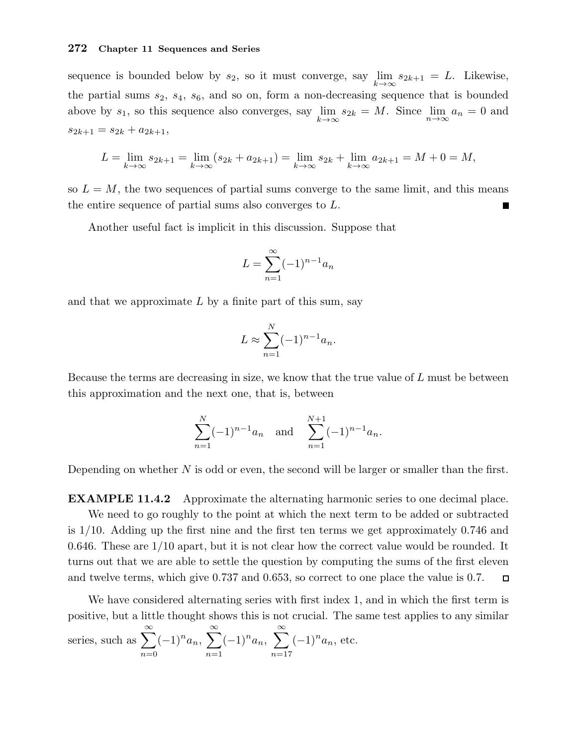sequence is bounded below by  $s_2$ , so it must converge, say  $\lim_{k \to \infty} s_{2k+1} = L$ . Likewise, the partial sums  $s_2$ ,  $s_4$ ,  $s_6$ , and so on, form a non-decreasing sequence that is bounded above by  $s_1$ , so this sequence also converges, say  $\lim_{k\to\infty} s_{2k} = M$ . Since  $\lim_{n\to\infty} a_n = 0$  and  $s_{2k+1} = s_{2k} + a_{2k+1},$ 

$$
L = \lim_{k \to \infty} s_{2k+1} = \lim_{k \to \infty} (s_{2k} + a_{2k+1}) = \lim_{k \to \infty} s_{2k} + \lim_{k \to \infty} a_{2k+1} = M + 0 = M,
$$

so  $L = M$ , the two sequences of partial sums converge to the same limit, and this means the entire sequence of partial sums also converges to L.

Another useful fact is implicit in this discussion. Suppose that

$$
L = \sum_{n=1}^{\infty} (-1)^{n-1} a_n
$$

and that we approximate  $L$  by a finite part of this sum, say

$$
L \approx \sum_{n=1}^{N} (-1)^{n-1} a_n.
$$

Because the terms are decreasing in size, we know that the true value of  $L$  must be between this approximation and the next one, that is, between

$$
\sum_{n=1}^{N} (-1)^{n-1} a_n \quad \text{and} \quad \sum_{n=1}^{N+1} (-1)^{n-1} a_n.
$$

Depending on whether N is odd or even, the second will be larger or smaller than the first.

EXAMPLE 11.4.2 Approximate the alternating harmonic series to one decimal place. We need to go roughly to the point at which the next term to be added or subtracted is 1/10. Adding up the first nine and the first ten terms we get approximately 0.746 and 0.646. These are 1/10 apart, but it is not clear how the correct value would be rounded. It turns out that we are able to settle the question by computing the sums of the first eleven and twelve terms, which give 0.737 and 0.653, so correct to one place the value is 0.7.  $\Box$ 

We have considered alternating series with first index 1, and in which the first term is positive, but a little thought shows this is not crucial. The same test applies to any similar series, such as  $\sum_{n=1}^{\infty}$  $n=0$  $(-1)^n a_n, \sum_{n=1}^{\infty}$  $n=1$  $(-1)^n a_n, \sum_{n=1}^{\infty}$  $n=17$  $(-1)^n a_n$ , etc.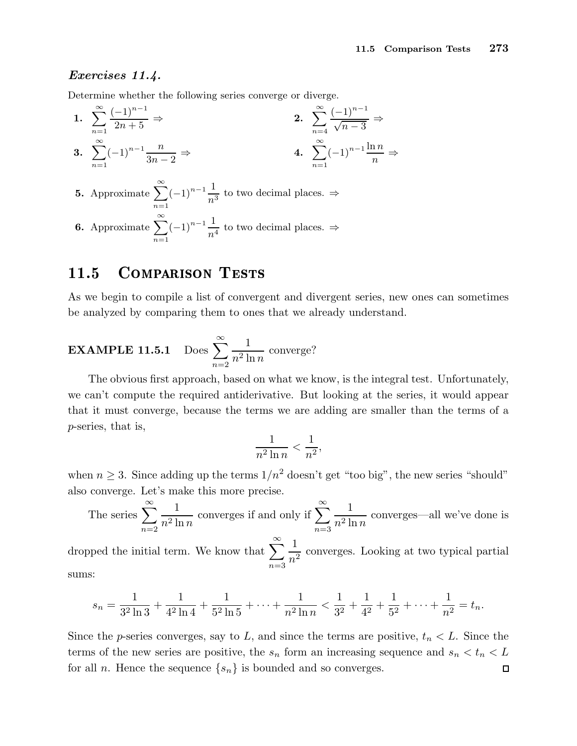## Exercises 11.4.

Determine whether the following series converge or diverge.

1. 
$$
\sum_{n=1}^{\infty} \frac{(-1)^{n-1}}{2n+5} \Rightarrow
$$
  
\n2. 
$$
\sum_{n=4}^{\infty} \frac{(-1)^{n-1}}{\sqrt{n-3}} \Rightarrow
$$
  
\n3. 
$$
\sum_{n=1}^{\infty} (-1)^{n-1} \frac{n}{3n-2} \Rightarrow
$$
  
\n4. 
$$
\sum_{n=1}^{\infty} (-1)^{n-1} \frac{\ln n}{n} \Rightarrow
$$

- **5.** Approximate  $\sum_{n=1}^{\infty}$  $n=1$  $(-1)^{n-1}$  $\frac{1}{n^3}$  to two decimal places. ⇒
- **6.** Approximate  $\sum_{n=1}^{\infty}$  $n=1$  $(-1)^{n-1}\frac{1}{n^4}$  to two decimal places.  $\Rightarrow$

## 11.5 COMPARISON TESTS

As we begin to compile a list of convergent and divergent series, new ones can sometimes be analyzed by comparing them to ones that we already understand.

**EXAMPLE 11.5.1** Does 
$$
\sum_{n=2}^{\infty} \frac{1}{n^2 \ln n}
$$
 converge?

The obvious first approach, based on what we know, is the integral test. Unfortunately, we can't compute the required antiderivative. But looking at the series, it would appear that it must converge, because the terms we are adding are smaller than the terms of a p-series, that is,

$$
\frac{1}{n^2\ln n} < \frac{1}{n^2},
$$

when  $n \geq 3$ . Since adding up the terms  $1/n^2$  doesn't get "too big", the new series "should" also converge. Let's make this more precise.

The series 
$$
\sum_{n=2}^{\infty} \frac{1}{n^2 \ln n}
$$
 converges if and only if  $\sum_{n=3}^{\infty} \frac{1}{n^2 \ln n}$  converges—all we've done is

dropped the initial term. We know that  $\sum_{n=0}^{\infty}$  $n=3$ 1  $\frac{1}{n^2}$  converges. Looking at two typical partial sums:

$$
s_n = \frac{1}{3^2 \ln 3} + \frac{1}{4^2 \ln 4} + \frac{1}{5^2 \ln 5} + \dots + \frac{1}{n^2 \ln n} < \frac{1}{3^2} + \frac{1}{4^2} + \frac{1}{5^2} + \dots + \frac{1}{n^2} = t_n.
$$

Since the p-series converges, say to L, and since the terms are positive,  $t_n < L$ . Since the terms of the new series are positive, the  $s_n$  form an increasing sequence and  $s_n < t_n < L$ for all *n*. Hence the sequence  $\{s_n\}$  is bounded and so converges.  $\Box$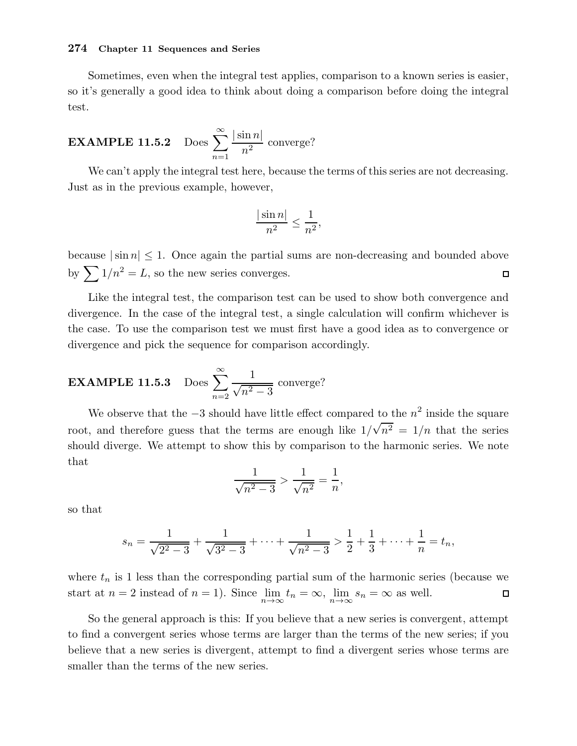Sometimes, even when the integral test applies, comparison to a known series is easier, so it's generally a good idea to think about doing a comparison before doing the integral test.

**EXAMPLE 11.5.2** Does 
$$
\sum_{n=1}^{\infty} \frac{|\sin n|}{n^2}
$$
 converge?

We can't apply the integral test here, because the terms of this series are not decreasing. Just as in the previous example, however,

$$
\frac{|\sin n|}{n^2} \le \frac{1}{n^2},
$$

because  $|\sin n| \leq 1$ . Once again the partial sums are non-decreasing and bounded above by  $\sum 1/n^2 = L$ , so the new series converges.  $\Box$ 

Like the integral test, the comparison test can be used to show both convergence and divergence. In the case of the integral test, a single calculation will confirm whichever is the case. To use the comparison test we must first have a good idea as to convergence or divergence and pick the sequence for comparison accordingly.

**EXAMPLE 11.5.3** Does 
$$
\sum_{n=2}^{\infty} \frac{1}{\sqrt{n^2 - 3}}
$$
 converge?

We observe that the  $-3$  should have little effect compared to the  $n^2$  inside the square root, and therefore guess that the terms are enough like  $1/\sqrt{n^2} = 1/n$  that the series should diverge. We attempt to show this by comparison to the harmonic series. We note that

$$
\frac{1}{\sqrt{n^2 - 3}} > \frac{1}{\sqrt{n^2}} = \frac{1}{n}
$$

,

so that

$$
s_n = \frac{1}{\sqrt{2^2 - 3}} + \frac{1}{\sqrt{3^2 - 3}} + \dots + \frac{1}{\sqrt{n^2 - 3}} > \frac{1}{2} + \frac{1}{3} + \dots + \frac{1}{n} = t_n,
$$

where  $t_n$  is 1 less than the corresponding partial sum of the harmonic series (because we start at  $n = 2$  instead of  $n = 1$ ). Since  $\lim_{n \to \infty} t_n = \infty$ ,  $\lim_{n \to \infty} s_n = \infty$  as well.  $\Box$ 

So the general approach is this: If you believe that a new series is convergent, attempt to find a convergent series whose terms are larger than the terms of the new series; if you believe that a new series is divergent, attempt to find a divergent series whose terms are smaller than the terms of the new series.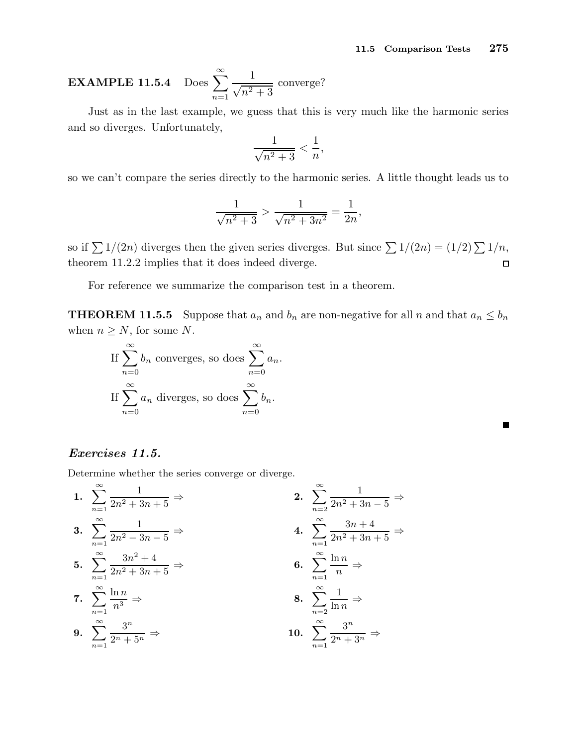**EXAMPLE 11.5.4** Does 
$$
\sum_{n=1}^{\infty} \frac{1}{\sqrt{n^2 + 3}}
$$
 converge?

Just as in the last example, we guess that this is very much like the harmonic series and so diverges. Unfortunately,

$$
\frac{1}{\sqrt{n^2+3}} < \frac{1}{n},
$$

so we can't compare the series directly to the harmonic series. A little thought leads us to

$$
\frac{1}{\sqrt{n^2+3}} > \frac{1}{\sqrt{n^2+3n^2}} = \frac{1}{2n},
$$

so if  $\sum 1/(2n)$  diverges then the given series diverges. But since  $\sum 1/(2n) = (1/2)\sum 1/n$ , theorem 11.2.2 implies that it does indeed diverge.  $\Box$ 

For reference we summarize the comparison test in a theorem.

**THEOREM 11.5.5** Suppose that  $a_n$  and  $b_n$  are non-negative for all n and that  $a_n \leq b_n$ when  $n \geq N$ , for some N.

If 
$$
\sum_{n=0}^{\infty} b_n
$$
 converges, so does  $\sum_{n=0}^{\infty} a_n$ .  
If  $\sum_{n=0}^{\infty} a_n$  diverges, so does  $\sum_{n=0}^{\infty} b_n$ .

Exercises 11.5.

Determine whether the series converge or diverge.

1. 
$$
\sum_{n=1}^{\infty} \frac{1}{2n^2 + 3n + 5} \Rightarrow
$$
  
\n2. 
$$
\sum_{n=2}^{\infty} \frac{1}{2n^2 + 3n - 5} \Rightarrow
$$
  
\n3. 
$$
\sum_{n=1}^{\infty} \frac{1}{2n^2 - 3n - 5} \Rightarrow
$$
  
\n4. 
$$
\sum_{n=1}^{\infty} \frac{3n + 4}{2n^2 + 3n + 5} \Rightarrow
$$
  
\n5. 
$$
\sum_{n=1}^{\infty} \frac{3n^2 + 4}{2n^2 + 3n + 5} \Rightarrow
$$
  
\n6. 
$$
\sum_{n=1}^{\infty} \frac{\ln n}{n} \Rightarrow
$$
  
\n7. 
$$
\sum_{n=1}^{\infty} \frac{\ln n}{n^3} \Rightarrow
$$
  
\n8. 
$$
\sum_{n=2}^{\infty} \frac{1}{\ln n} \Rightarrow
$$
  
\n9. 
$$
\sum_{n=1}^{\infty} \frac{3^n}{2^n + 5^n} \Rightarrow
$$
  
\n10. 
$$
\sum_{n=1}^{\infty} \frac{3^n}{2^n + 3^n} \Rightarrow
$$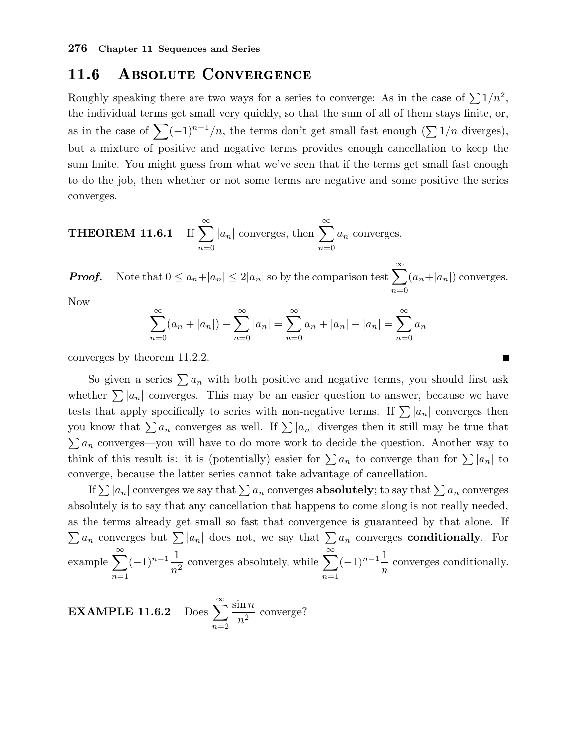## 11.6 ABSOLUTE CONVERGENCE

Roughly speaking there are two ways for a series to converge: As in the case of  $\sum 1/n^2$ , the individual terms get small very quickly, so that the sum of all of them stays finite, or, as in the case of  $\sum_{n=1}^{\infty}(-1)^{n-1}/n$ , the terms don't get small fast enough  $(\sum_{n=1}^{\infty}1/n)$  diverges), but a mixture of positive and negative terms provides enough cancellation to keep the sum finite. You might guess from what we've seen that if the terms get small fast enough to do the job, then whether or not some terms are negative and some positive the series converges.

**THEOREM 11.6.1** If 
$$
\sum_{n=0}^{\infty} |a_n|
$$
 converges, then  $\sum_{n=0}^{\infty} a_n$  converges.

**Proof.** Note that  $0 \le a_n + |a_n| \le 2|a_n|$  so by the comparison test  $\sum_{n=1}^{\infty}$  $n=0$  $(a_n+|a_n|)$  converges.

Now

$$
\sum_{n=0}^{\infty} (a_n + |a_n|) - \sum_{n=0}^{\infty} |a_n| = \sum_{n=0}^{\infty} a_n + |a_n| - |a_n| = \sum_{n=0}^{\infty} a_n
$$

converges by theorem 11.2.2.

So given a series  $\sum a_n$  with both positive and negative terms, you should first ask whether  $\sum |a_n|$  converges. This may be an easier question to answer, because we have tests that apply specifically to series with non-negative terms. If  $\sum |a_n|$  converges then you know that  $\sum a_n$  converges as well. If  $\sum |a_n|$  diverges then it still may be true that  $\sum a_n$  converges—you will have to do more work to decide the question. Another way to think of this result is: it is (potentially) easier for  $\sum a_n$  to converge than for  $\sum |a_n|$  to converge, because the latter series cannot take advantage of cancellation.

If  $\sum |a_n|$  converges we say that  $\sum a_n$  converges **absolutely**; to say that  $\sum a_n$  converges absolutely is to say that any cancellation that happens to come along is not really needed, as the terms already get small so fast that convergence is guaranteed by that alone. If  $\sum a_n$  converges but  $\sum |a_n|$  does not, we say that  $\sum a_n$  converges **conditionally**. For example  $\sum_{n=1}^{\infty}$  $n=1$  $(-1)^{n-1}\frac{1}{n^2}$  $n<sup>2</sup>$ converges absolutely, while  $\sum_{n=1}^{\infty}$  $n=1$  $(-1)^{n-1}\frac{1}{n}$  $\overline{n}$ converges conditionally.

**EXAMPLE 11.6.2** Does 
$$
\sum_{n=2}^{\infty} \frac{\sin n}{n^2}
$$
 converge?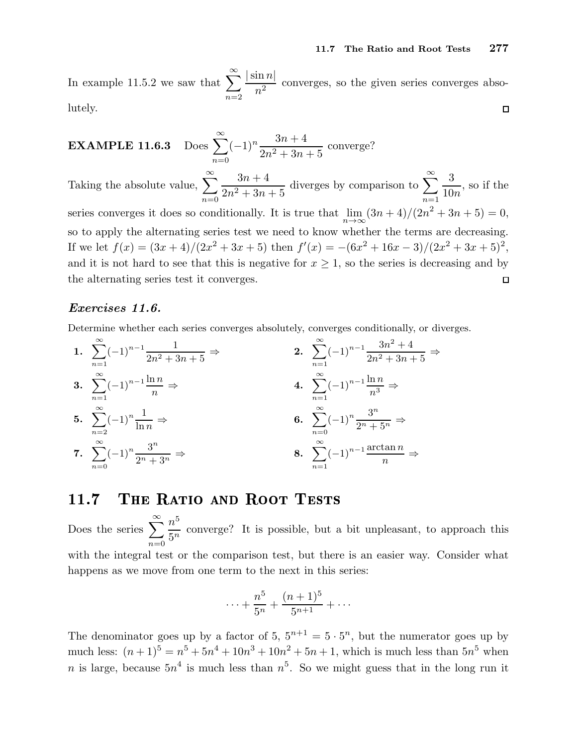In example 11.5.2 we saw that  $\sum_{n=1}^{\infty}$  $|\sin n|$  $\frac{n^2}{n^2}$  converges, so the given series converges abso $n=2$ lutely.  $\Box$ 

**EXAMPLE 11.6.3** Does 
$$
\sum_{n=0}^{\infty} (-1)^n \frac{3n+4}{2n^2+3n+5}
$$
 converge?

Taking the absolute value,  $\sum_{n=1}^{\infty}$ diverges by comparison to  $\sum_{n=0}^{\infty}$  $3n+4$ 3 , so if the  $2n^2 + 3n + 5$ 10n  $n=0$  $n=1$ series converges it does so conditionally. It is true that  $\lim_{n \to \infty} (3n + 4)/(2n^2 + 3n + 5) = 0$ , so to apply the alternating series test we need to know whether the terms are decreasing. If we let  $f(x) = (3x+4)/(2x^2+3x+5)$  then  $f'(x) = -(6x^2+16x-3)/(2x^2+3x+5)^2$ , and it is not hard to see that this is negative for  $x \geq 1$ , so the series is decreasing and by the alternating series test it converges.  $\Box$ 

## Exercises 11.6.

Determine whether each series converges absolutely, converges conditionally, or diverges.

1. 
$$
\sum_{n=1}^{\infty} (-1)^{n-1} \frac{1}{2n^2 + 3n + 5} \Rightarrow
$$
  
\n2. 
$$
\sum_{n=1}^{\infty} (-1)^{n-1} \frac{3n^2 + 4}{2n^2 + 3n + 5} \Rightarrow
$$
  
\n3. 
$$
\sum_{n=1}^{\infty} (-1)^{n-1} \frac{\ln n}{n} \Rightarrow
$$
  
\n4. 
$$
\sum_{n=1}^{\infty} (-1)^{n-1} \frac{\ln n}{n^3} \Rightarrow
$$
  
\n5. 
$$
\sum_{n=2}^{\infty} (-1)^n \frac{1}{\ln n} \Rightarrow
$$
  
\n6. 
$$
\sum_{n=0}^{\infty} (-1)^n \frac{3^n}{2^n + 5^n} \Rightarrow
$$
  
\n7. 
$$
\sum_{n=0}^{\infty} (-1)^n \frac{3^n}{2^n + 3^n} \Rightarrow
$$
  
\n8. 
$$
\sum_{n=1}^{\infty} (-1)^{n-1} \frac{\arctan n}{n} \Rightarrow
$$

## 11.7 THE RATIO AND ROOT TESTS

Does the series  $\sum_{n=1}^{\infty}$  $n=0$  $n^5$  $\frac{\pi}{5^n}$  converge? It is possible, but a bit unpleasant, to approach this with the integral test or the comparison test, but there is an easier way. Consider what happens as we move from one term to the next in this series:

$$
\cdots + \frac{n^5}{5^n} + \frac{(n+1)^5}{5^{n+1}} + \cdots
$$

The denominator goes up by a factor of 5,  $5^{n+1} = 5 \cdot 5^n$ , but the numerator goes up by much less:  $(n+1)^5 = n^5 + 5n^4 + 10n^3 + 10n^2 + 5n + 1$ , which is much less than  $5n^5$  when n is large, because  $5n^4$  is much less than  $n^5$ . So we might guess that in the long run it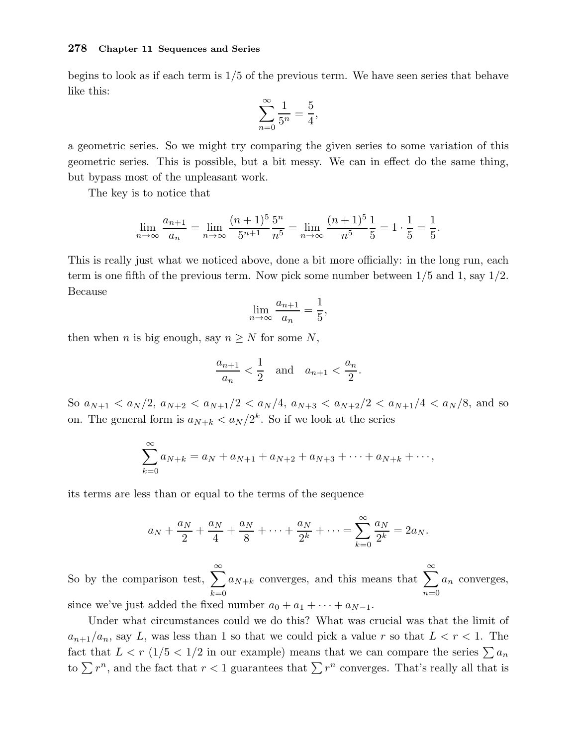begins to look as if each term is 1/5 of the previous term. We have seen series that behave like this:

$$
\sum_{n=0}^{\infty} \frac{1}{5^n} = \frac{5}{4},
$$

a geometric series. So we might try comparing the given series to some variation of this geometric series. This is possible, but a bit messy. We can in effect do the same thing, but bypass most of the unpleasant work.

The key is to notice that

$$
\lim_{n \to \infty} \frac{a_{n+1}}{a_n} = \lim_{n \to \infty} \frac{(n+1)^5}{5^{n+1}} \frac{5^n}{n^5} = \lim_{n \to \infty} \frac{(n+1)^5}{n^5} \frac{1}{5} = 1 \cdot \frac{1}{5} = \frac{1}{5}.
$$

This is really just what we noticed above, done a bit more officially: in the long run, each term is one fifth of the previous term. Now pick some number between  $1/5$  and 1, say  $1/2$ . Because

$$
\lim_{n \to \infty} \frac{a_{n+1}}{a_n} = \frac{1}{5}
$$

,

then when *n* is big enough, say  $n \geq N$  for some N,

$$
\frac{a_{n+1}}{a_n} < \frac{1}{2} \quad \text{and} \quad a_{n+1} < \frac{a_n}{2}.
$$

So  $a_{N+1} < a_N/2$ ,  $a_{N+2} < a_{N+1}/2 < a_N/4$ ,  $a_{N+3} < a_{N+2}/2 < a_{N+1}/4 < a_N/8$ , and so on. The general form is  $a_{N+k} < a_N/2^k$ . So if we look at the series

$$
\sum_{k=0}^{\infty} a_{N+k} = a_N + a_{N+1} + a_{N+2} + a_{N+3} + \dots + a_{N+k} + \dots,
$$

its terms are less than or equal to the terms of the sequence

$$
a_N + \frac{a_N}{2} + \frac{a_N}{4} + \frac{a_N}{8} + \dots + \frac{a_N}{2^k} + \dots = \sum_{k=0}^{\infty} \frac{a_N}{2^k} = 2a_N.
$$

So by the comparison test,  $\sum_{n=1}^{\infty}$  $_{k=0}$  $a_{N+k}$  converges, and this means that  $\sum_{n=1}^{\infty}$  $n=0$  $a_n$  converges, since we've just added the fixed number  $a_0 + a_1 + \cdots + a_{N-1}$ .

Under what circumstances could we do this? What was crucial was that the limit of  $a_{n+1}/a_n$ , say L, was less than 1 so that we could pick a value r so that  $L < r < 1$ . The fact that  $L < r \left(1/5 < 1/2 \right)$  in our example) means that we can compare the series  $\sum a_n$ to  $\sum r^n$ , and the fact that  $r < 1$  guarantees that  $\sum r^n$  converges. That's really all that is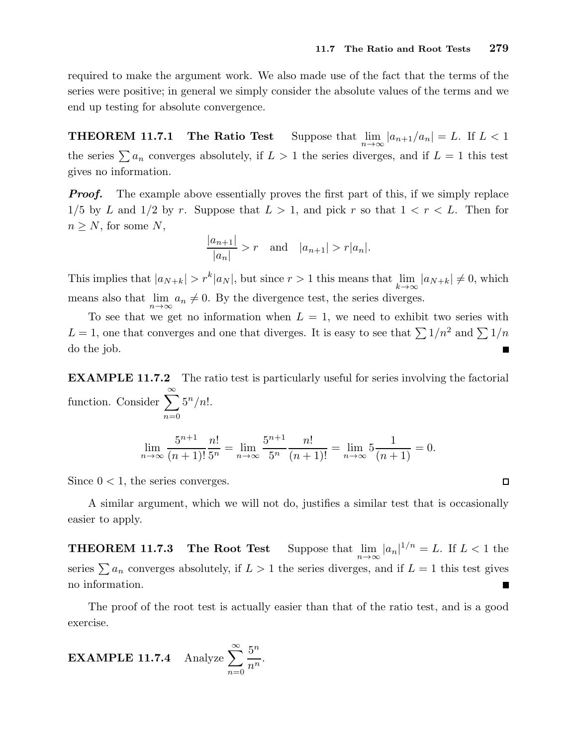$\Box$ 

required to make the argument work. We also made use of the fact that the terms of the series were positive; in general we simply consider the absolute values of the terms and we end up testing for absolute convergence.

THEOREM 11.7.1 The Ratio Test Suppose that  $\lim_{n\to\infty} |a_{n+1}/a_n| = L$ . If  $L < 1$ the series  $\sum a_n$  converges absolutely, if  $L > 1$  the series diverges, and if  $L = 1$  this test gives no information.

**Proof.** The example above essentially proves the first part of this, if we simply replace  $1/5$  by L and  $1/2$  by r. Suppose that  $L > 1$ , and pick r so that  $1 < r < L$ . Then for  $n \geq N$ , for some N,

$$
\frac{|a_{n+1}|}{|a_n|} > r \text{ and } |a_{n+1}| > r|a_n|.
$$

This implies that  $|a_{N+k}| > r^k |a_N|$ , but since  $r > 1$  this means that  $\lim_{k \to \infty} |a_{N+k}| \neq 0$ , which means also that  $\lim_{n\to\infty} a_n \neq 0$ . By the divergence test, the series diverges.

To see that we get no information when  $L = 1$ , we need to exhibit two series with  $L = 1$ , one that converges and one that diverges. It is easy to see that  $\sum 1/n^2$  and  $\sum 1/n$ do the job.  $\overline{\phantom{a}}$ 

EXAMPLE 11.7.2 The ratio test is particularly useful for series involving the factorial function. Consider  $\sum_{n=0}^{\infty}$  $n=0$  $5^n/n!$ .

$$
\lim_{n \to \infty} \frac{5^{n+1}}{(n+1)!} \frac{n!}{5^n} = \lim_{n \to \infty} \frac{5^{n+1}}{5^n} \frac{n!}{(n+1)!} = \lim_{n \to \infty} 5 \frac{1}{(n+1)} = 0.
$$

Since  $0 < 1$ , the series converges.

A similar argument, which we will not do, justifies a similar test that is occasionally easier to apply.

**THEOREM 11.7.3** The Root Test Suppose that  $\lim_{n\to\infty} |a_n|^{1/n} = L$ . If  $L < 1$  the series  $\sum a_n$  converges absolutely, if  $L > 1$  the series diverges, and if  $L = 1$  this test gives no information.  $\overline{\phantom{a}}$ 

The proof of the root test is actually easier than that of the ratio test, and is a good exercise.

**EXAMPLE 11.7.4** Analyze 
$$
\sum_{n=0}^{\infty} \frac{5^n}{n^n}.
$$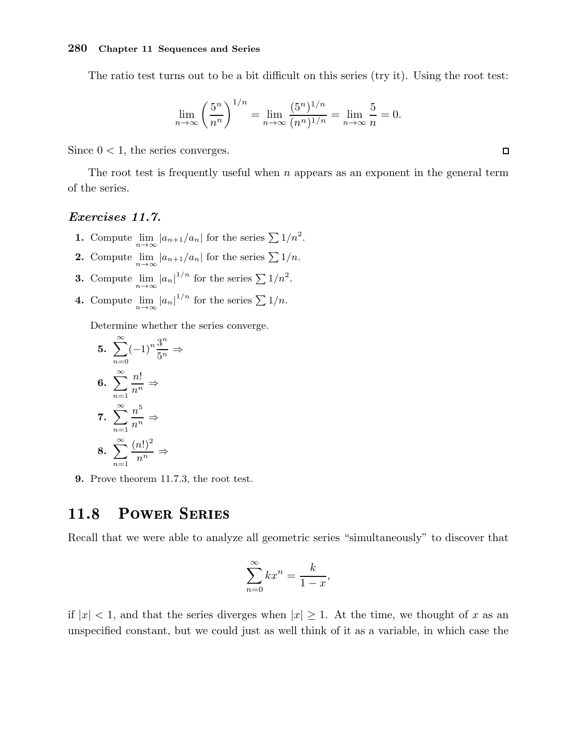The ratio test turns out to be a bit difficult on this series (try it). Using the root test:

$$
\lim_{n \to \infty} \left(\frac{5^n}{n^n}\right)^{1/n} = \lim_{n \to \infty} \frac{(5^n)^{1/n}}{(n^n)^{1/n}} = \lim_{n \to \infty} \frac{5}{n} = 0.
$$

Since  $0 < 1$ , the series converges.

The root test is frequently useful when  $n$  appears as an exponent in the general term of the series.

## Exercises 11.7.

- **1.** Compute  $\lim_{n\to\infty} |a_{n+1}/a_n|$  for the series  $\sum 1/n^2$ .
- **2.** Compute  $\lim_{n\to\infty} |a_{n+1}/a_n|$  for the series  $\sum 1/n$ .
- **3.** Compute  $\lim_{n \to \infty} |a_n|^{1/n}$  for the series  $\sum 1/n^2$ .
- **4.** Compute  $\lim_{n\to\infty} |a_n|^{1/n}$  for the series  $\sum 1/n$ .

Determine whether the series converge.

5. 
$$
\sum_{n=0}^{\infty} (-1)^n \frac{3^n}{5^n} \Rightarrow
$$
  
6. 
$$
\sum_{n=1}^{\infty} \frac{n!}{n^n} \Rightarrow
$$
  
7. 
$$
\sum_{n=1}^{\infty} \frac{n^5}{n^n} \Rightarrow
$$
  
8. 
$$
\sum_{n=1}^{\infty} \frac{(n!)^2}{n^n} \Rightarrow
$$

9. Prove theorem 11.7.3, the root test.

#### **POWER SERIES** 11.8

Recall that we were able to analyze all geometric series "simultaneously" to discover that

$$
\sum_{n=0}^{\infty} kx^n = \frac{k}{1-x},
$$

if  $|x| < 1$ , and that the series diverges when  $|x| \geq 1$ . At the time, we thought of x as an unspecified constant, but we could just as well think of it as a variable, in which case the

 $\Box$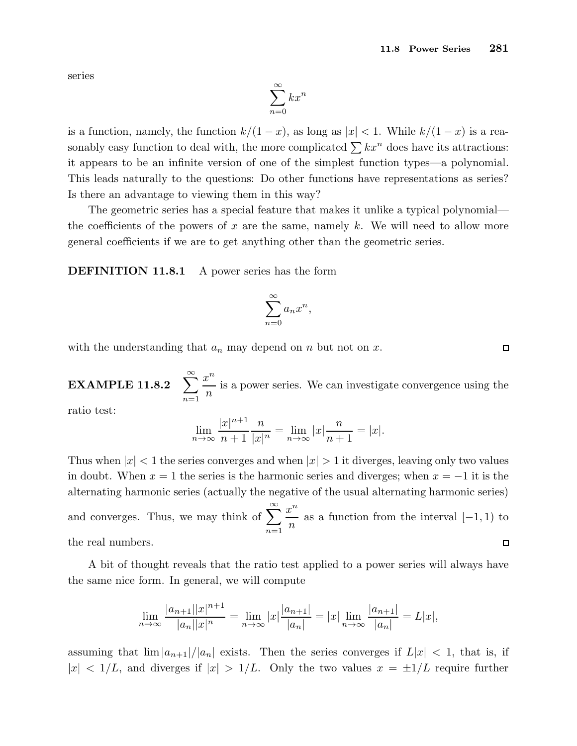series

$$
\sum_{n=0}^{\infty} kx^n
$$

is a function, namely, the function  $k/(1-x)$ , as long as  $|x| < 1$ . While  $k/(1-x)$  is a reasonably easy function to deal with, the more complicated  $\sum kx^n$  does have its attractions: it appears to be an infinite version of one of the simplest function types—a polynomial. This leads naturally to the questions: Do other functions have representations as series? Is there an advantage to viewing them in this way?

The geometric series has a special feature that makes it unlike a typical polynomial the coefficients of the powers of x are the same, namely k. We will need to allow more general coefficients if we are to get anything other than the geometric series.

**DEFINITION 11.8.1** A power series has the form

$$
\sum_{n=0}^{\infty} a_n x^n,
$$

with the understanding that  $a_n$  may depend on n but not on x.

EXAMPLE 11.8.2  $\sum_{n=1}^{\infty}$  $n=1$  $x^n$ n is a power series. We can investigate convergence using the

ratio test:

$$
\lim_{n \to \infty} \frac{|x|^{n+1}}{n+1} \frac{n}{|x|^n} = \lim_{n \to \infty} |x| \frac{n}{n+1} = |x|.
$$

Thus when  $|x| < 1$  the series converges and when  $|x| > 1$  it diverges, leaving only two values in doubt. When  $x = 1$  the series is the harmonic series and diverges; when  $x = -1$  it is the alternating harmonic series (actually the negative of the usual alternating harmonic series) and converges. Thus, we may think of  $\sum_{n=0}^{\infty}$  $x^n$  $\frac{\epsilon}{n}$  as a function from the interval  $[-1, 1)$  to  $n=1$ the real numbers.  $\Box$ 

A bit of thought reveals that the ratio test applied to a power series will always have the same nice form. In general, we will compute

$$
\lim_{n \to \infty} \frac{|a_{n+1}||x|^{n+1}}{|a_n||x|^n} = \lim_{n \to \infty} |x| \frac{|a_{n+1}|}{|a_n|} = |x| \lim_{n \to \infty} \frac{|a_{n+1}|}{|a_n|} = L|x|,
$$

assuming that  $\lim |a_{n+1}|/|a_n|$  exists. Then the series converges if  $L|x| < 1$ , that is, if  $|x| < 1/L$ , and diverges if  $|x| > 1/L$ . Only the two values  $x = \pm 1/L$  require further

 $\Box$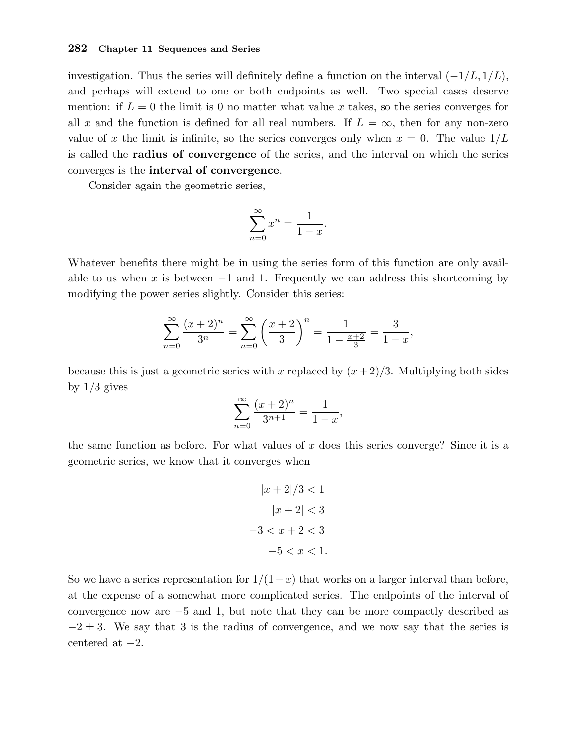investigation. Thus the series will definitely define a function on the interval  $(-1/L, 1/L)$ , and perhaps will extend to one or both endpoints as well. Two special cases deserve mention: if  $L = 0$  the limit is 0 no matter what value x takes, so the series converges for all x and the function is defined for all real numbers. If  $L = \infty$ , then for any non-zero value of x the limit is infinite, so the series converges only when  $x = 0$ . The value  $1/L$ is called the radius of convergence of the series, and the interval on which the series converges is the interval of convergence.

Consider again the geometric series,

$$
\sum_{n=0}^{\infty} x^n = \frac{1}{1-x}.
$$

Whatever benefits there might be in using the series form of this function are only available to us when x is between  $-1$  and 1. Frequently we can address this shortcoming by modifying the power series slightly. Consider this series:

$$
\sum_{n=0}^{\infty} \frac{(x+2)^n}{3^n} = \sum_{n=0}^{\infty} \left(\frac{x+2}{3}\right)^n = \frac{1}{1 - \frac{x+2}{3}} = \frac{3}{1-x},
$$

because this is just a geometric series with x replaced by  $(x+2)/3$ . Multiplying both sides by  $1/3$  gives

$$
\sum_{n=0}^{\infty} \frac{(x+2)^n}{3^{n+1}} = \frac{1}{1-x},
$$

the same function as before. For what values of x does this series converge? Since it is a geometric series, we know that it converges when

$$
|x+2|/3 < 1
$$
  
\n
$$
|x+2| < 3
$$
  
\n
$$
-3 < x + 2 < 3
$$
  
\n
$$
-5 < x < 1.
$$

So we have a series representation for  $1/(1-x)$  that works on a larger interval than before, at the expense of a somewhat more complicated series. The endpoints of the interval of convergence now are −5 and 1, but note that they can be more compactly described as  $-2 \pm 3$ . We say that 3 is the radius of convergence, and we now say that the series is centered at  $-2$ .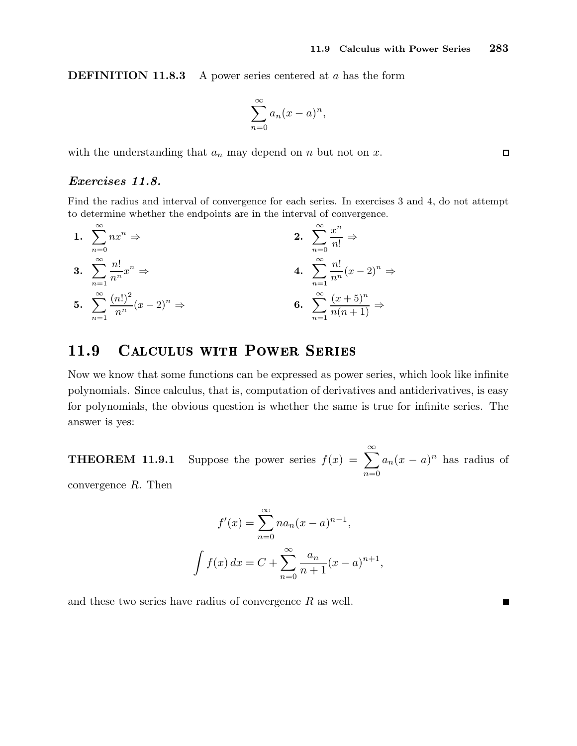**DEFINITION 11.8.3** A power series centered at a has the form

$$
\sum_{n=0}^{\infty} a_n (x-a)^n,
$$

with the understanding that  $a_n$  may depend on n but not on x.

## Exercises 11.8.

Find the radius and interval of convergence for each series. In exercises 3 and 4, do not attempt to determine whether the endpoints are in the interval of convergence.

1. 
$$
\sum_{n=0}^{\infty} nx^n \Rightarrow
$$
  
\n2. 
$$
\sum_{n=0}^{\infty} \frac{x^n}{n!} \Rightarrow
$$
  
\n3. 
$$
\sum_{n=1}^{\infty} \frac{n!}{n^n} x^n \Rightarrow
$$
  
\n4. 
$$
\sum_{n=1}^{\infty} \frac{n!}{n^n} (x-2)^n \Rightarrow
$$
  
\n5. 
$$
\sum_{n=1}^{\infty} \frac{(n!)^2}{n^n} (x-2)^n \Rightarrow
$$
  
\n6. 
$$
\sum_{n=1}^{\infty} \frac{(x+5)^n}{n(n+1)} \Rightarrow
$$

## 11.9 CALCULUS WITH POWER SERIES

Now we know that some functions can be expressed as power series, which look like infinite polynomials. Since calculus, that is, computation of derivatives and antiderivatives, is easy for polynomials, the obvious question is whether the same is true for infinite series. The answer is yes:

**THEOREM 11.9.1** Suppose the power series  $f(x) = \sum_{n=0}^{\infty}$  $n=0$  $a_n(x-a)^n$  has radius of

convergence R. Then

$$
f'(x) = \sum_{n=0}^{\infty} na_n (x - a)^{n-1},
$$

$$
\int f(x) dx = C + \sum_{n=0}^{\infty} \frac{a_n}{n+1} (x - a)^{n+1},
$$

and these two series have radius of convergence  $R$  as well.

 $\Box$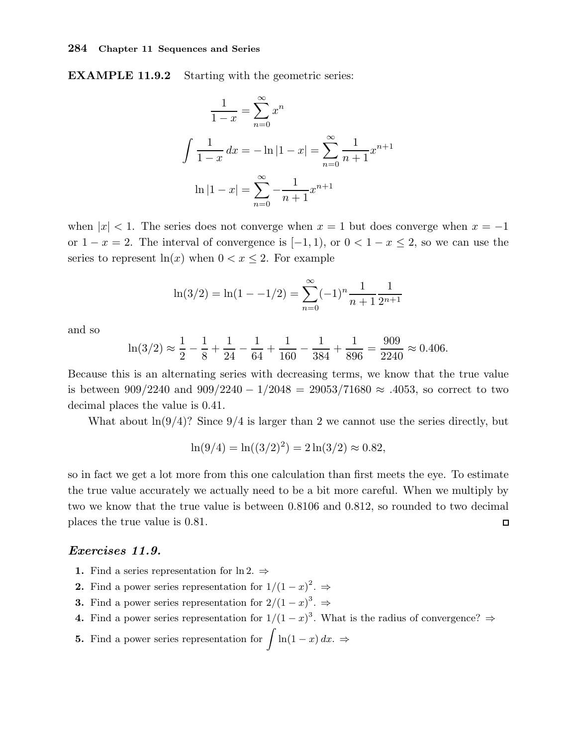EXAMPLE 11.9.2 Starting with the geometric series:

$$
\frac{1}{1-x} = \sum_{n=0}^{\infty} x^n
$$

$$
\int \frac{1}{1-x} dx = -\ln|1-x| = \sum_{n=0}^{\infty} \frac{1}{n+1} x^{n+1}
$$

$$
\ln|1-x| = \sum_{n=0}^{\infty} -\frac{1}{n+1} x^{n+1}
$$

when  $|x| < 1$ . The series does not converge when  $x = 1$  but does converge when  $x = -1$ or  $1 - x = 2$ . The interval of convergence is  $[-1, 1)$ , or  $0 < 1 - x \le 2$ , so we can use the series to represent  $ln(x)$  when  $0 < x \leq 2$ . For example

$$
\ln(3/2) = \ln(1 - -1/2) = \sum_{n=0}^{\infty} (-1)^n \frac{1}{n+1} \frac{1}{2^{n+1}}
$$

and so

$$
\ln(3/2) \approx \frac{1}{2} - \frac{1}{8} + \frac{1}{24} - \frac{1}{64} + \frac{1}{160} - \frac{1}{384} + \frac{1}{896} = \frac{909}{2240} \approx 0.406.
$$

Because this is an alternating series with decreasing terms, we know that the true value is between 909/2240 and 909/2240 − 1/2048 = 29053/71680  $\approx$  .4053, so correct to two decimal places the value is 0.41.

What about  $\ln(9/4)$ ? Since  $9/4$  is larger than 2 we cannot use the series directly, but

$$
\ln(9/4) = \ln((3/2)^2) = 2\ln(3/2) \approx 0.82,
$$

so in fact we get a lot more from this one calculation than first meets the eye. To estimate the true value accurately we actually need to be a bit more careful. When we multiply by two we know that the true value is between 0.8106 and 0.812, so rounded to two decimal places the true value is 0.81.  $\Box$ 

## Exercises 11.9.

- 1. Find a series representation for  $\ln 2. \Rightarrow$
- **2.** Find a power series representation for  $1/(1-x)^2$ .  $\Rightarrow$
- **3.** Find a power series representation for  $2/(1-x)^3$ .  $\Rightarrow$
- 4. Find a power series representation for  $1/(1-x)^3$ . What is the radius of convergence?  $\Rightarrow$
- **5.** Find a power series representation for  $\int \ln(1-x) dx$ .  $\Rightarrow$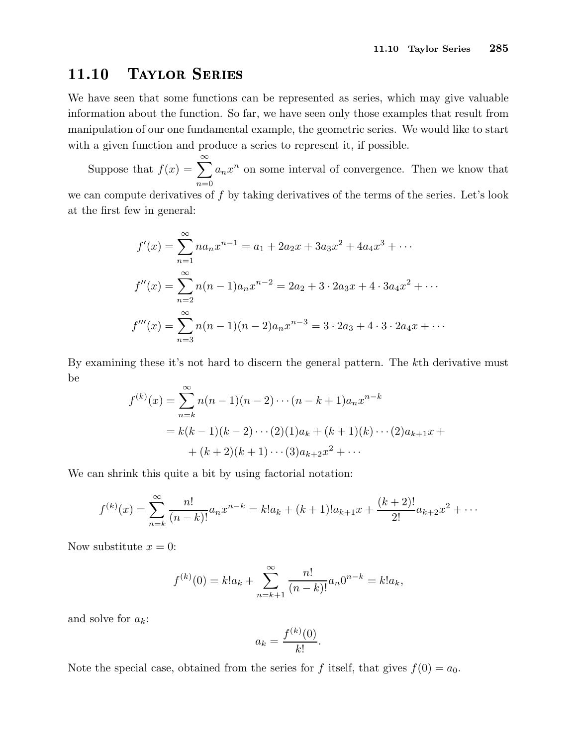## 11.10 Taylor Series

We have seen that some functions can be represented as series, which may give valuable information about the function. So far, we have seen only those examples that result from manipulation of our one fundamental example, the geometric series. We would like to start with a given function and produce a series to represent it, if possible.

Suppose that  $f(x) = \sum_{n=0}^{\infty}$  $n=0$  $a_n x^n$  on some interval of convergence. Then we know that we can compute derivatives of  $f$  by taking derivatives of the terms of the series. Let's look at the first few in general:

$$
f'(x) = \sum_{n=1}^{\infty} n a_n x^{n-1} = a_1 + 2a_2 x + 3a_3 x^2 + 4a_4 x^3 + \cdots
$$
  

$$
f''(x) = \sum_{n=2}^{\infty} n(n-1) a_n x^{n-2} = 2a_2 + 3 \cdot 2a_3 x + 4 \cdot 3a_4 x^2 + \cdots
$$
  

$$
f'''(x) = \sum_{n=3}^{\infty} n(n-1)(n-2) a_n x^{n-3} = 3 \cdot 2a_3 + 4 \cdot 3 \cdot 2a_4 x + \cdots
$$

By examining these it's not hard to discern the general pattern. The kth derivative must be

$$
f^{(k)}(x) = \sum_{n=k}^{\infty} n(n-1)(n-2)\cdots(n-k+1)a_n x^{n-k}
$$
  
=  $k(k-1)(k-2)\cdots(2)(1)a_k + (k+1)(k)\cdots(2)a_{k+1}x + (k+2)(k+1)\cdots(3)a_{k+2}x^2 + \cdots$ 

We can shrink this quite a bit by using factorial notation:

$$
f^{(k)}(x) = \sum_{n=k}^{\infty} \frac{n!}{(n-k)!} a_n x^{n-k} = k! a_k + (k+1)! a_{k+1} x + \frac{(k+2)!}{2!} a_{k+2} x^2 + \cdots
$$

Now substitute  $x = 0$ :

$$
f^{(k)}(0) = k!a_k + \sum_{n=k+1}^{\infty} \frac{n!}{(n-k)!} a_n 0^{n-k} = k!a_k,
$$

and solve for  $a_k$ :

$$
a_k = \frac{f^{(k)}(0)}{k!}.
$$

Note the special case, obtained from the series for f itself, that gives  $f(0) = a_0$ .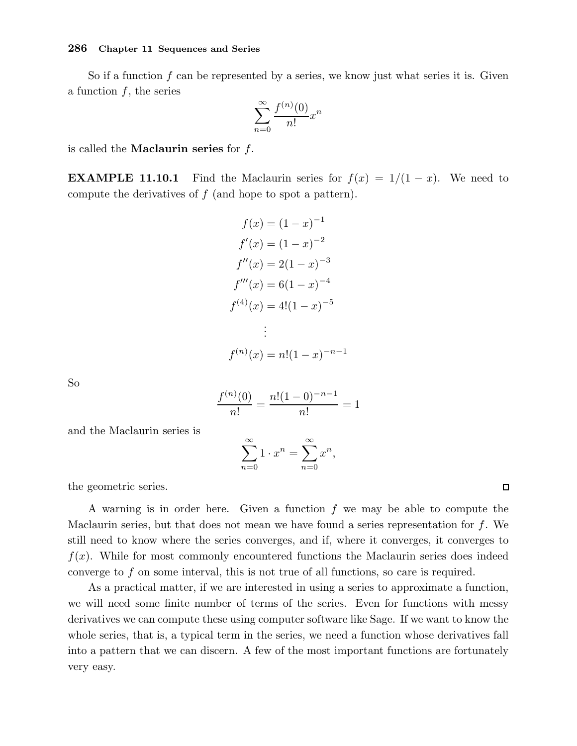So if a function  $f$  can be represented by a series, we know just what series it is. Given a function  $f$ , the series

$$
\sum_{n=0}^{\infty} \frac{f^{(n)}(0)}{n!} x^n
$$

is called the **Maclaurin series** for  $f$ .

**EXAMPLE 11.10.1** Find the Maclaurin series for  $f(x) = 1/(1-x)$ . We need to compute the derivatives of  $f$  (and hope to spot a pattern).

$$
f(x) = (1 - x)^{-1}
$$
  
\n
$$
f'(x) = (1 - x)^{-2}
$$
  
\n
$$
f''(x) = 2(1 - x)^{-3}
$$
  
\n
$$
f'''(x) = 6(1 - x)^{-4}
$$
  
\n
$$
f^{(4)}(x) = 4!(1 - x)^{-5}
$$
  
\n
$$
\vdots
$$
  
\n
$$
f^{(n)}(x) = n!(1 - x)^{-n-1}
$$

So

$$
\frac{f^{(n)}(0)}{n!} = \frac{n!(1-0)^{-n-1}}{n!} = 1
$$

and the Maclaurin series is

$$
\sum_{n=0}^{\infty} 1 \cdot x^n = \sum_{n=0}^{\infty} x^n,
$$

the geometric series.

A warning is in order here. Given a function  $f$  we may be able to compute the Maclaurin series, but that does not mean we have found a series representation for  $f$ . We still need to know where the series converges, and if, where it converges, it converges to  $f(x)$ . While for most commonly encountered functions the Maclaurin series does indeed converge to f on some interval, this is not true of all functions, so care is required.

As a practical matter, if we are interested in using a series to approximate a function, we will need some finite number of terms of the series. Even for functions with messy derivatives we can compute these using computer software like Sage. If we want to know the whole series, that is, a typical term in the series, we need a function whose derivatives fall into a pattern that we can discern. A few of the most important functions are fortunately very easy.

 $\Box$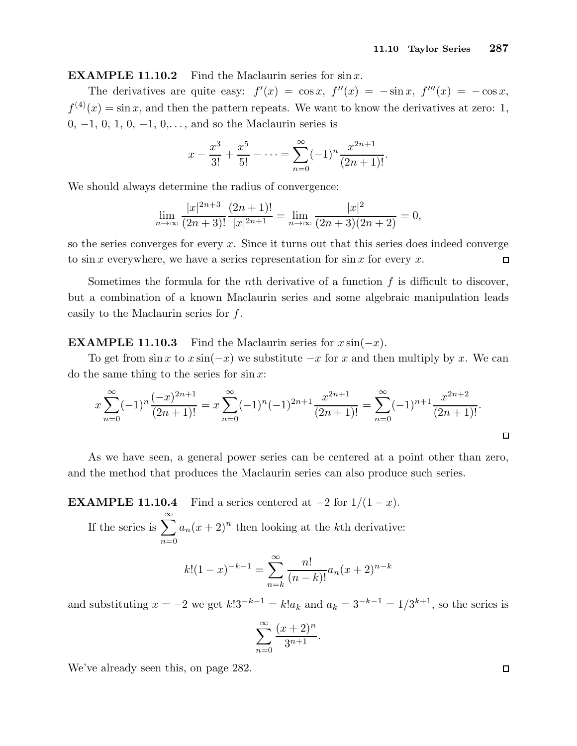**EXAMPLE 11.10.2** Find the Maclaurin series for  $\sin x$ .

The derivatives are quite easy:  $f'(x) = \cos x$ ,  $f''(x) = -\sin x$ ,  $f'''(x) = -\cos x$ ,  $f^{(4)}(x) = \sin x$ , and then the pattern repeats. We want to know the derivatives at zero: 1, 0,  $-1$ , 0, 1, 0,  $-1$ , 0,..., and so the Maclaurin series is

$$
x - \frac{x^3}{3!} + \frac{x^5}{5!} - \dots = \sum_{n=0}^{\infty} (-1)^n \frac{x^{2n+1}}{(2n+1)!}.
$$

We should always determine the radius of convergence:

$$
\lim_{n \to \infty} \frac{|x|^{2n+3}}{(2n+3)!} \frac{(2n+1)!}{|x|^{2n+1}} = \lim_{n \to \infty} \frac{|x|^2}{(2n+3)(2n+2)} = 0,
$$

so the series converges for every  $x$ . Since it turns out that this series does indeed converge to sin x everywhere, we have a series representation for sin x for every x.  $\Box$ 

Sometimes the formula for the *n*th derivative of a function  $f$  is difficult to discover, but a combination of a known Maclaurin series and some algebraic manipulation leads easily to the Maclaurin series for  $f$ .

**EXAMPLE 11.10.3** Find the Maclaurin series for  $x \sin(-x)$ .

To get from  $\sin x$  to  $x \sin(-x)$  we substitute  $-x$  for x and then multiply by x. We can do the same thing to the series for  $\sin x$ :

$$
x\sum_{n=0}^{\infty}(-1)^n\frac{(-x)^{2n+1}}{(2n+1)!} = x\sum_{n=0}^{\infty}(-1)^n(-1)^{2n+1}\frac{x^{2n+1}}{(2n+1)!} = \sum_{n=0}^{\infty}(-1)^{n+1}\frac{x^{2n+2}}{(2n+1)!}.
$$

As we have seen, a general power series can be centered at a point other than zero, and the method that produces the Maclaurin series can also produce such series.

**EXAMPLE 11.10.4** Find a series centered at  $-2$  for  $1/(1-x)$ .

If the series is  $\sum_{n=1}^{\infty}$  $n=0$  $a_n(x+2)^n$  then looking at the kth derivative:

$$
k!(1-x)^{-k-1} = \sum_{n=k}^{\infty} \frac{n!}{(n-k)!} a_n (x+2)^{n-k}
$$

and substituting  $x = -2$  we get  $k!3^{-k-1} = k!a_k$  and  $a_k = 3^{-k-1} = 1/3^{k+1}$ , so the series is

$$
\sum_{n=0}^{\infty} \frac{(x+2)^n}{3^{n+1}}.
$$

We've already seen this, on page 282.

 $\Box$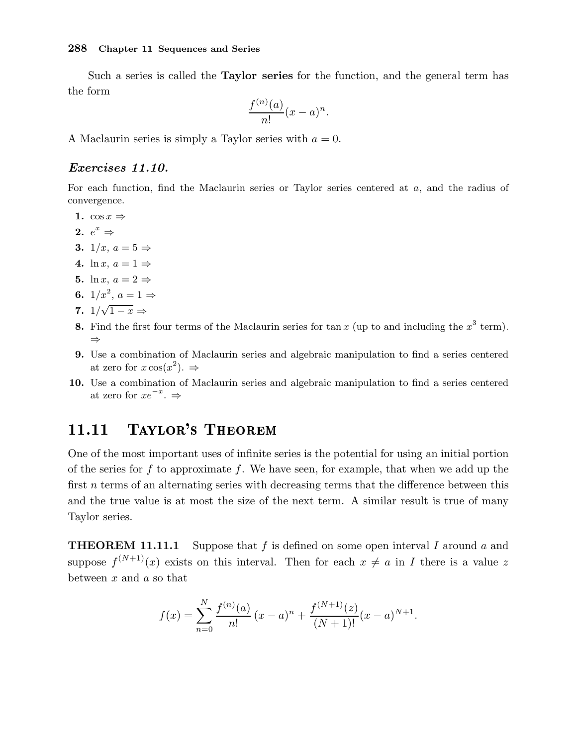Such a series is called the **Taylor series** for the function, and the general term has the form

$$
\frac{f^{(n)}(a)}{n!}(x-a)^n.
$$

A Maclaurin series is simply a Taylor series with  $a = 0$ .

## Exercises 11.10.

For each function, find the Maclaurin series or Taylor series centered at a, and the radius of convergence.

- 1.  $\cos x \Rightarrow$
- 2.  $e^x \Rightarrow$
- 3.  $1/x$ ,  $a = 5 \Rightarrow$
- 4. ln x,  $a = 1 \Rightarrow$
- 5. ln x,  $a = 2 \Rightarrow$
- 6.  $1/x^2$ ,  $a = 1 \Rightarrow$
- 7.  $1/\sqrt{1-x} \Rightarrow$
- 8. Find the first four terms of the Maclaurin series for tan x (up to and including the  $x^3$  term). ⇒
- 9. Use a combination of Maclaurin series and algebraic manipulation to find a series centered at zero for  $x \cos(x^2)$ .  $\Rightarrow$
- 10. Use a combination of Maclaurin series and algebraic manipulation to find a series centered at zero for  $xe^{-x}$ .  $\Rightarrow$

## 11.11 Taylor's Theorem

One of the most important uses of infinite series is the potential for using an initial portion of the series for f to approximate f. We have seen, for example, that when we add up the first *n* terms of an alternating series with decreasing terms that the difference between this and the true value is at most the size of the next term. A similar result is true of many Taylor series.

**THEOREM 11.11.1** Suppose that f is defined on some open interval I around a and suppose  $f^{(N+1)}(x)$  exists on this interval. Then for each  $x \neq a$  in I there is a value z between  $x$  and  $a$  so that

$$
f(x) = \sum_{n=0}^{N} \frac{f^{(n)}(a)}{n!} (x-a)^n + \frac{f^{(N+1)}(z)}{(N+1)!} (x-a)^{N+1}.
$$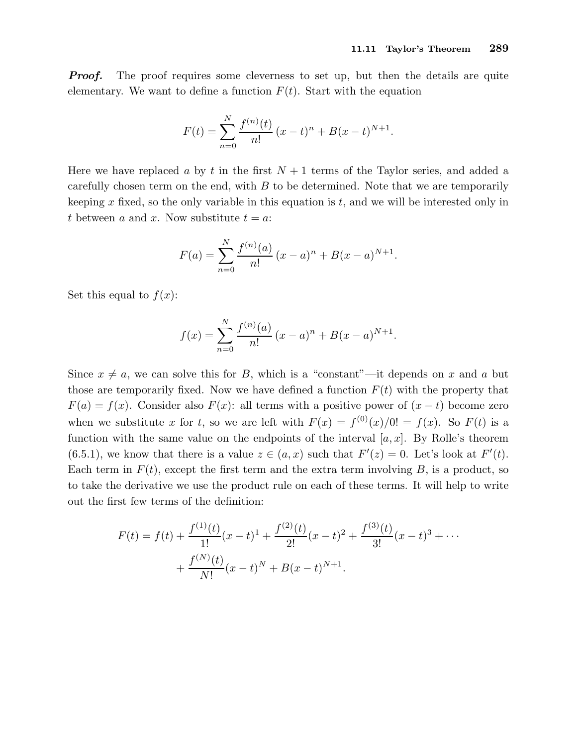**Proof.** The proof requires some cleverness to set up, but then the details are quite elementary. We want to define a function  $F(t)$ . Start with the equation

$$
F(t) = \sum_{n=0}^{N} \frac{f^{(n)}(t)}{n!} (x - t)^{n} + B(x - t)^{N+1}.
$$

Here we have replaced a by t in the first  $N+1$  terms of the Taylor series, and added a carefully chosen term on the end, with  $B$  to be determined. Note that we are temporarily keeping  $x$  fixed, so the only variable in this equation is  $t$ , and we will be interested only in t between a and x. Now substitute  $t = a$ :

$$
F(a) = \sum_{n=0}^{N} \frac{f^{(n)}(a)}{n!} (x - a)^{n} + B(x - a)^{N+1}.
$$

Set this equal to  $f(x)$ :

$$
f(x) = \sum_{n=0}^{N} \frac{f^{(n)}(a)}{n!} (x - a)^{n} + B(x - a)^{N+1}.
$$

Since  $x \neq a$ , we can solve this for B, which is a "constant"—it depends on x and a but those are temporarily fixed. Now we have defined a function  $F(t)$  with the property that  $F(a) = f(x)$ . Consider also  $F(x)$ : all terms with a positive power of  $(x - t)$  become zero when we substitute x for t, so we are left with  $F(x) = f^{(0)}(x)/0! = f(x)$ . So  $F(t)$  is a function with the same value on the endpoints of the interval  $[a, x]$ . By Rolle's theorem (6.5.1), we know that there is a value  $z \in (a, x)$  such that  $F'(z) = 0$ . Let's look at  $F'(t)$ . Each term in  $F(t)$ , except the first term and the extra term involving B, is a product, so to take the derivative we use the product rule on each of these terms. It will help to write out the first few terms of the definition:

$$
F(t) = f(t) + \frac{f^{(1)}(t)}{1!}(x-t)^{1} + \frac{f^{(2)}(t)}{2!}(x-t)^{2} + \frac{f^{(3)}(t)}{3!}(x-t)^{3} + \cdots
$$

$$
+ \frac{f^{(N)}(t)}{N!}(x-t)^{N} + B(x-t)^{N+1}.
$$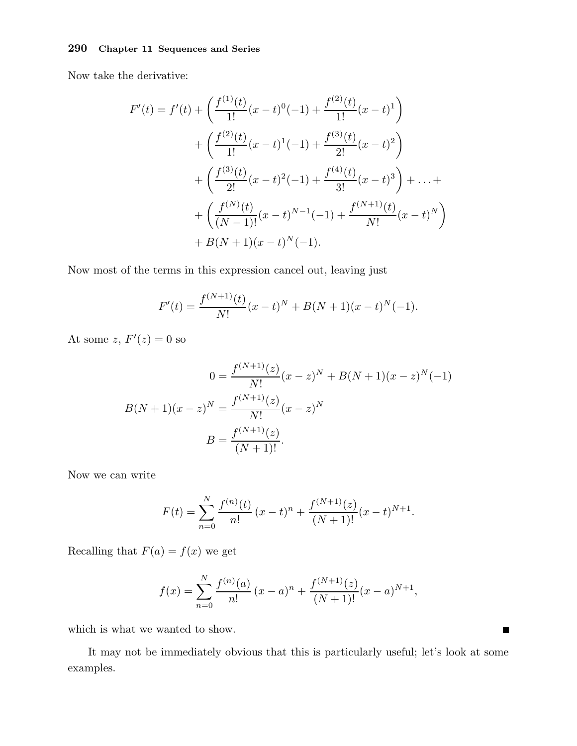Now take the derivative:

$$
F'(t) = f'(t) + \left(\frac{f^{(1)}(t)}{1!}(x-t)^0(-1) + \frac{f^{(2)}(t)}{1!}(x-t)^1\right) + \left(\frac{f^{(2)}(t)}{1!}(x-t)^1(-1) + \frac{f^{(3)}(t)}{2!}(x-t)^2\right) + \left(\frac{f^{(3)}(t)}{2!}(x-t)^2(-1) + \frac{f^{(4)}(t)}{3!}(x-t)^3\right) + \dots + + \left(\frac{f^{(N)}(t)}{(N-1)!}(x-t)^{N-1}(-1) + \frac{f^{(N+1)}(t)}{N!}(x-t)^N\right) + B(N+1)(x-t)^N(-1).
$$

Now most of the terms in this expression cancel out, leaving just

$$
F'(t) = \frac{f^{(N+1)}(t)}{N!}(x-t)^N + B(N+1)(x-t)^N(-1).
$$

At some z,  $F'(z) = 0$  so

$$
0 = \frac{f^{(N+1)}(z)}{N!}(x-z)^N + B(N+1)(x-z)^N(-1)
$$

$$
B(N+1)(x-z)^N = \frac{f^{(N+1)}(z)}{N!}(x-z)^N
$$

$$
B = \frac{f^{(N+1)}(z)}{(N+1)!}.
$$

Now we can write

$$
F(t) = \sum_{n=0}^{N} \frac{f^{(n)}(t)}{n!} (x - t)^n + \frac{f^{(N+1)}(z)}{(N+1)!} (x - t)^{N+1}.
$$

Recalling that  $F(a) = f(x)$  we get

$$
f(x) = \sum_{n=0}^{N} \frac{f^{(n)}(a)}{n!} (x - a)^n + \frac{f^{(N+1)}(z)}{(N+1)!} (x - a)^{N+1},
$$

which is what we wanted to show.

It may not be immediately obvious that this is particularly useful; let's look at some examples.

 $\blacksquare$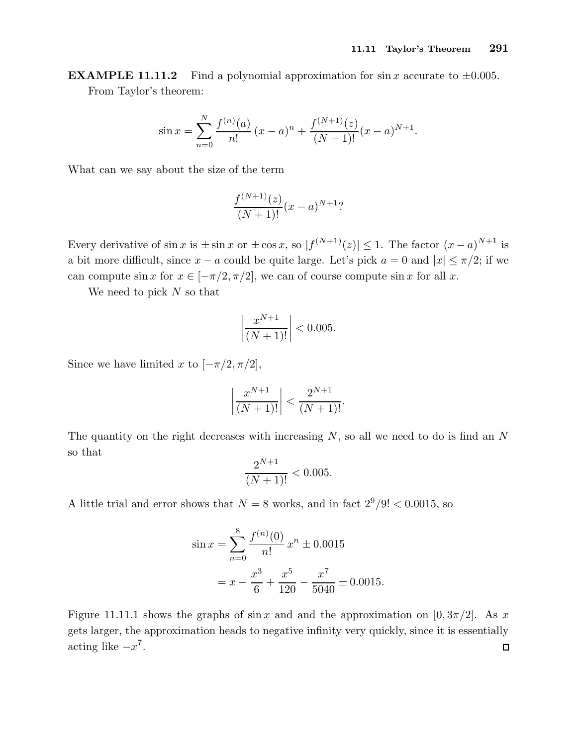**EXAMPLE 11.11.2** Find a polynomial approximation for sin x accurate to  $\pm 0.005$ . From Taylor's theorem:

$$
\sin x = \sum_{n=0}^{N} \frac{f^{(n)}(a)}{n!} (x-a)^n + \frac{f^{(N+1)}(z)}{(N+1)!} (x-a)^{N+1}.
$$

What can we say about the size of the term

$$
\frac{f^{(N+1)}(z)}{(N+1)!}(x-a)^{N+1}?
$$

Every derivative of  $\sin x$  is  $\pm \sin x$  or  $\pm \cos x$ , so  $|f^{(N+1)}(z)| \leq 1$ . The factor  $(x-a)^{N+1}$  is a bit more difficult, since  $x - a$  could be quite large. Let's pick  $a = 0$  and  $|x| \leq \pi/2$ ; if we can compute sin x for  $x \in [-\pi/2, \pi/2]$ , we can of course compute sin x for all x.

We need to pick  $N$  so that

$$
\left| \frac{x^{N+1}}{(N+1)!} \right| < 0.005.
$$

Since we have limited x to  $[-\pi/2, \pi/2]$ ,

$$
\left|\frac{x^{N+1}}{(N+1)!}\right| < \frac{2^{N+1}}{(N+1)!}.
$$

The quantity on the right decreases with increasing  $N$ , so all we need to do is find an  $N$ so that  $\lambda + 1$ 

$$
\frac{2^{N+1}}{(N+1)!} < 0.005.
$$

A little trial and error shows that  $N = 8$  works, and in fact  $2^9/9! < 0.0015$ , so

$$
\sin x = \sum_{n=0}^{8} \frac{f^{(n)}(0)}{n!} x^n \pm 0.0015
$$

$$
= x - \frac{x^3}{6} + \frac{x^5}{120} - \frac{x^7}{5040} \pm 0.0015.
$$

Figure 11.11.1 shows the graphs of sin x and and the approximation on [0,  $3\pi/2$ ]. As x gets larger, the approximation heads to negative infinity very quickly, since it is essentially acting like  $-x^7$ .  $\Box$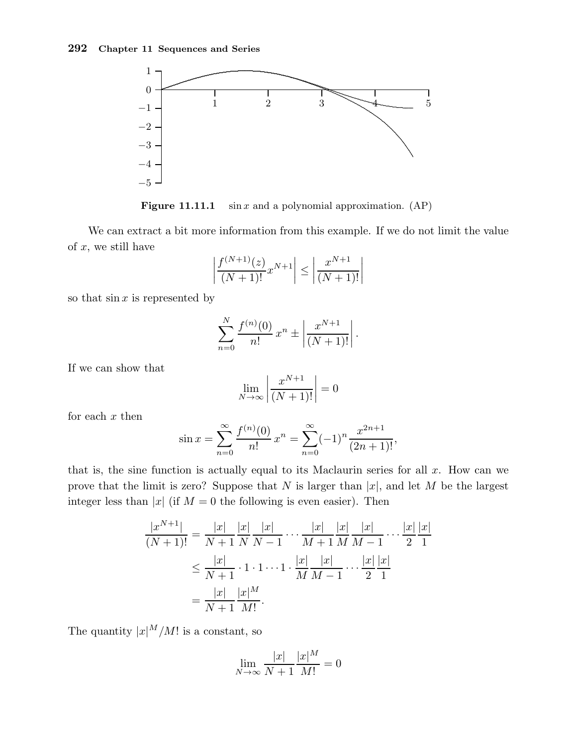

**Figure 11.11.1** sin x and a polynomial approximation.  $AP$ )

We can extract a bit more information from this example. If we do not limit the value of  $x$ , we still have

$$
\left| \frac{f^{(N+1)}(z)}{(N+1)!} x^{N+1} \right| \le \left| \frac{x^{N+1}}{(N+1)!} \right|
$$

so that  $\sin x$  is represented by

$$
\sum_{n=0}^{N} \frac{f^{(n)}(0)}{n!} x^{n} \pm \left| \frac{x^{N+1}}{(N+1)!} \right|.
$$

If we can show that

$$
\lim_{N \to \infty} \left| \frac{x^{N+1}}{(N+1)!} \right| = 0
$$

for each  $x$  then

$$
\sin x = \sum_{n=0}^{\infty} \frac{f^{(n)}(0)}{n!} x^n = \sum_{n=0}^{\infty} (-1)^n \frac{x^{2n+1}}{(2n+1)!},
$$

that is, the sine function is actually equal to its Maclaurin series for all  $x$ . How can we prove that the limit is zero? Suppose that N is larger than  $|x|$ , and let M be the largest integer less than |x| (if  $M = 0$  the following is even easier). Then

$$
\frac{|x^{N+1}|}{(N+1)!} = \frac{|x|}{N+1} \frac{|x|}{N} \frac{|x|}{N-1} \cdots \frac{|x|}{M+1} \frac{|x|}{M} \frac{|x|}{M-1} \cdots \frac{|x|}{2} \frac{|x|}{1}
$$
  

$$
\leq \frac{|x|}{N+1} \cdot 1 \cdot 1 \cdots 1 \cdot \frac{|x|}{M} \frac{|x|}{M-1} \cdots \frac{|x|}{2} \frac{|x|}{1}
$$
  

$$
= \frac{|x|}{N+1} \frac{|x|^M}{M!}.
$$

The quantity  $|x|^M/M!$  is a constant, so

$$
\lim_{N \to \infty} \frac{|x|}{N+1} \frac{|x|^M}{M!} = 0
$$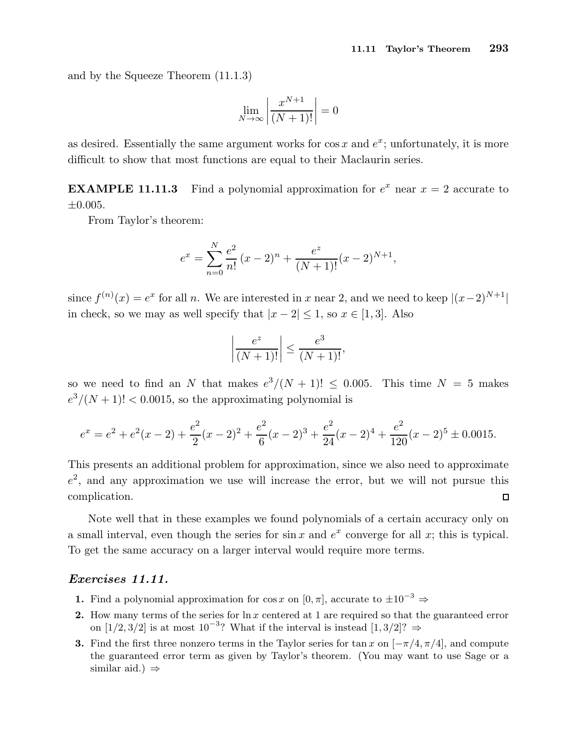and by the Squeeze Theorem (11.1.3)

$$
\lim_{N \to \infty} \left| \frac{x^{N+1}}{(N+1)!} \right| = 0
$$

as desired. Essentially the same argument works for  $\cos x$  and  $e^x$ ; unfortunately, it is more difficult to show that most functions are equal to their Maclaurin series.

**EXAMPLE 11.11.3** Find a polynomial approximation for  $e^x$  near  $x = 2$  accurate to  $\pm 0.005.$ 

From Taylor's theorem:

$$
e^{x} = \sum_{n=0}^{N} \frac{e^{2}}{n!} (x - 2)^{n} + \frac{e^{z}}{(N+1)!} (x - 2)^{N+1},
$$

since  $f^{(n)}(x) = e^x$  for all n. We are interested in x near 2, and we need to keep  $|(x-2)^{N+1}|$ in check, so we may as well specify that  $|x-2| \leq 1$ , so  $x \in [1,3]$ . Also

$$
\left|\frac{e^z}{(N+1)!}\right| \le \frac{e^3}{(N+1)!},
$$

so we need to find an N that makes  $e^3/(N+1)! \le 0.005$ . This time  $N = 5$  makes  $e^3/(N+1)!$  < 0.0015, so the approximating polynomial is

$$
e^{x} = e^{2} + e^{2}(x - 2) + \frac{e^{2}}{2}(x - 2)^{2} + \frac{e^{2}}{6}(x - 2)^{3} + \frac{e^{2}}{24}(x - 2)^{4} + \frac{e^{2}}{120}(x - 2)^{5} \pm 0.0015.
$$

This presents an additional problem for approximation, since we also need to approximate  $e^2$ , and any approximation we use will increase the error, but we will not pursue this complication.  $\Box$ 

Note well that in these examples we found polynomials of a certain accuracy only on a small interval, even though the series for  $\sin x$  and  $e^x$  converge for all x; this is typical. To get the same accuracy on a larger interval would require more terms.

## Exercises 11.11.

- 1. Find a polynomial approximation for cos x on  $[0, \pi]$ , accurate to  $\pm 10^{-3} \Rightarrow$
- 2. How many terms of the series for  $\ln x$  centered at 1 are required so that the guaranteed error on [1/2, 3/2] is at most 10<sup>-3</sup>? What if the interval is instead [1, 3/2]? ⇒
- 3. Find the first three nonzero terms in the Taylor series for tan x on  $[-\pi/4, \pi/4]$ , and compute the guaranteed error term as given by Taylor's theorem. (You may want to use Sage or a similar aid.)  $\Rightarrow$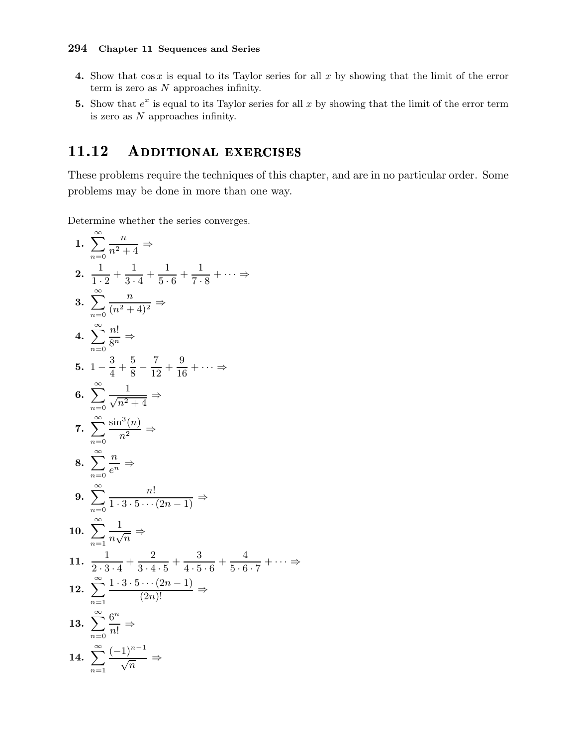- 4. Show that  $\cos x$  is equal to its Taylor series for all x by showing that the limit of the error term is zero as  $N$  approaches infinity.
- 5. Show that  $e^x$  is equal to its Taylor series for all x by showing that the limit of the error term is zero as  $N$  approaches infinity.

#### 11.12 ADDITIONAL EXERCISES

These problems require the techniques of this chapter, and are in no particular order. Some problems may be done in more than one way.

 $\Rightarrow$ 

Determine whether the series converges.

1. 
$$
\sum_{n=0}^{\infty} \frac{n}{n^2 + 4} \Rightarrow
$$
\n2. 
$$
\frac{1}{1 \cdot 2} + \frac{1}{3 \cdot 4} + \frac{1}{5 \cdot 6} + \frac{1}{7 \cdot 8} + \cdots \Rightarrow
$$
\n3. 
$$
\sum_{n=0}^{\infty} \frac{n}{(n^2 + 4)^2} \Rightarrow
$$
\n4. 
$$
\sum_{n=0}^{\infty} \frac{n!}{8^n} \Rightarrow
$$
\n5. 
$$
1 - \frac{3}{4} + \frac{5}{8} - \frac{7}{12} + \frac{9}{16} + \cdots \Rightarrow
$$
\n6. 
$$
\sum_{n=0}^{\infty} \frac{1}{\sqrt{n^2 + 4}} \Rightarrow
$$
\n7. 
$$
\sum_{n=0}^{\infty} \frac{\sin^3(n)}{n^2} \Rightarrow
$$
\n8. 
$$
\sum_{n=0}^{\infty} \frac{n}{e^n} \Rightarrow
$$
\n9. 
$$
\sum_{n=0}^{\infty} \frac{n!}{1 \cdot 3 \cdot 5 \cdots (2n - 1)} \Rightarrow
$$
\n10. 
$$
\sum_{n=1}^{\infty} \frac{1}{n\sqrt{n}} \Rightarrow
$$
\n11. 
$$
\frac{1}{2 \cdot 3 \cdot 4} + \frac{2}{3 \cdot 4 \cdot 5} + \frac{3}{4 \cdot 5 \cdot 6} + \frac{4}{5 \cdot 6 \cdot 7} + \cdots
$$
\n12. 
$$
\sum_{n=1}^{\infty} \frac{1 \cdot 3 \cdot 5 \cdots (2n - 1)}{(2n)!} \Rightarrow
$$
\n13. 
$$
\sum_{n=0}^{\infty} \frac{6^n}{n!} \Rightarrow
$$
\n14. 
$$
\sum_{n=1}^{\infty} \frac{(-1)^{n-1}}{\sqrt{n}} \Rightarrow
$$